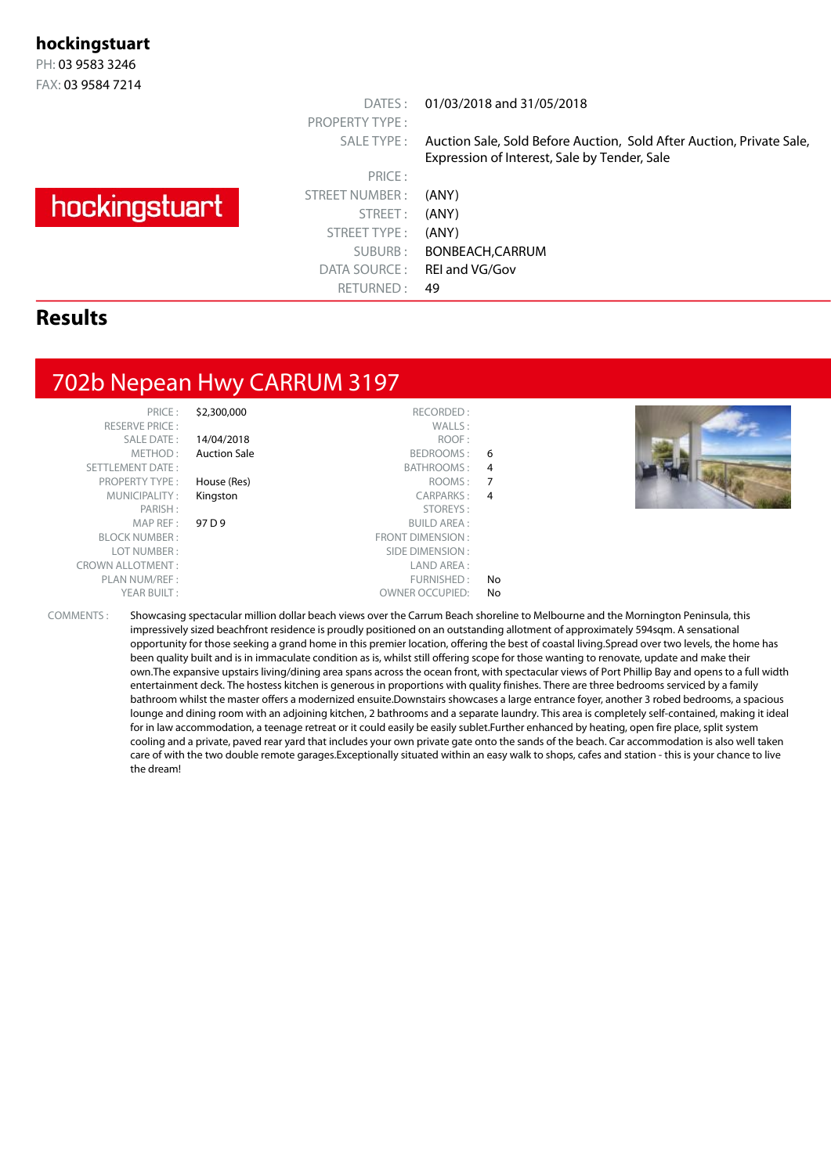#### **hockingstuart**

PH: 03 9583 3246 FAX: 03 9584 7214

# hockingstuart

PRICE : STREET NUMBER : (ANY) STREET: (ANY) STREET TYPE : (ANY) DATA SOURCE: REI and VG/Gov RETURNED : 49

PROPERTY TYPE :

DATES : 01/03/2018 and 31/05/2018

SALE TYPE : Auction Sale, Sold Before Auction, Sold After Auction, Private Sale, Expression of Interest, Sale by Tender, Sale

SUBURB : BONBEACH,CARRUM

#### **Results**

#### 702b Nepean Hwy CARRUM 3197

RESERVE PRICE : SALE DATE: METHOD: SETTLEMENT DATE : PROPERTY TYPE : MUNICIPALITY :<br>: PARISH MAP REF : BLOCK NUMBER : LOT NUMBER: CROWN ALLOTMENT:

|    | \$2,300,000<br>RECORDED:         | PRICE:                |
|----|----------------------------------|-----------------------|
|    | WALLS:                           | <b>RESERVE PRICE:</b> |
|    | ROOF:<br>14/04/2018              | <b>SALE DATE:</b>     |
| 6  | <b>Auction Sale</b><br>BEDROOMS: | METHOD:               |
| 4  | BATHROOMS:                       | <b>TTLEMENT DATE:</b> |
| 7  | House (Res)<br>ROOMS:            | <b>PROPERTY TYPE:</b> |
| 4  | <b>CARPARKS:</b><br>Kingston     | MUNICIPALITY:         |
|    | STOREYS:                         | PARISH:               |
|    | <b>BUILD AREA:</b>               | 97 D 9<br>MAP REF:    |
|    | <b>FRONT DIMENSION:</b>          | <b>BLOCK NUMBER:</b>  |
|    | SIDE DIMENSION:                  | LOT NUMBER:           |
|    | LAND AREA:                       | WN ALLOTMENT:         |
| No | FURNISHED:                       | PLAN NUM/REF :        |
| No | <b>OWNER OCCUPIED:</b>           | YEAR BUILT:           |
|    |                                  |                       |



COMMENTS : Showcasing spectacular million dollar beach views over the Carrum Beach shoreline to Melbourne and the Mornington Peninsula, this impressively sized beachfront residence is proudly positioned on an outstanding allotment of approximately 594sqm. A sensational opportunity for those seeking a grand home in this premier location, offering the best of coastal living.Spread over two levels, the home has been quality built and is in immaculate condition as is, whilst still offering scope for those wanting to renovate, update and make their own.The expansive upstairs living/dining area spans across the ocean front, with spectacular views of Port Phillip Bay and opens to a full width entertainment deck. The hostess kitchen is generous in proportions with quality finishes. There are three bedrooms serviced by a family bathroom whilst the master offers a modernized ensuite.Downstairs showcases a large entrance foyer, another 3 robed bedrooms, a spacious lounge and dining room with an adjoining kitchen, 2 bathrooms and a separate laundry. This area is completely self-contained, making it ideal for in law accommodation, a teenage retreat or it could easily be easily sublet.Further enhanced by heating, open fire place, split system cooling and a private, paved rear yard that includes your own private gate onto the sands of the beach. Car accommodation is also well taken care of with the two double remote garages.Exceptionally situated within an easy walk to shops, cafes and station - this is your chance to live the dream!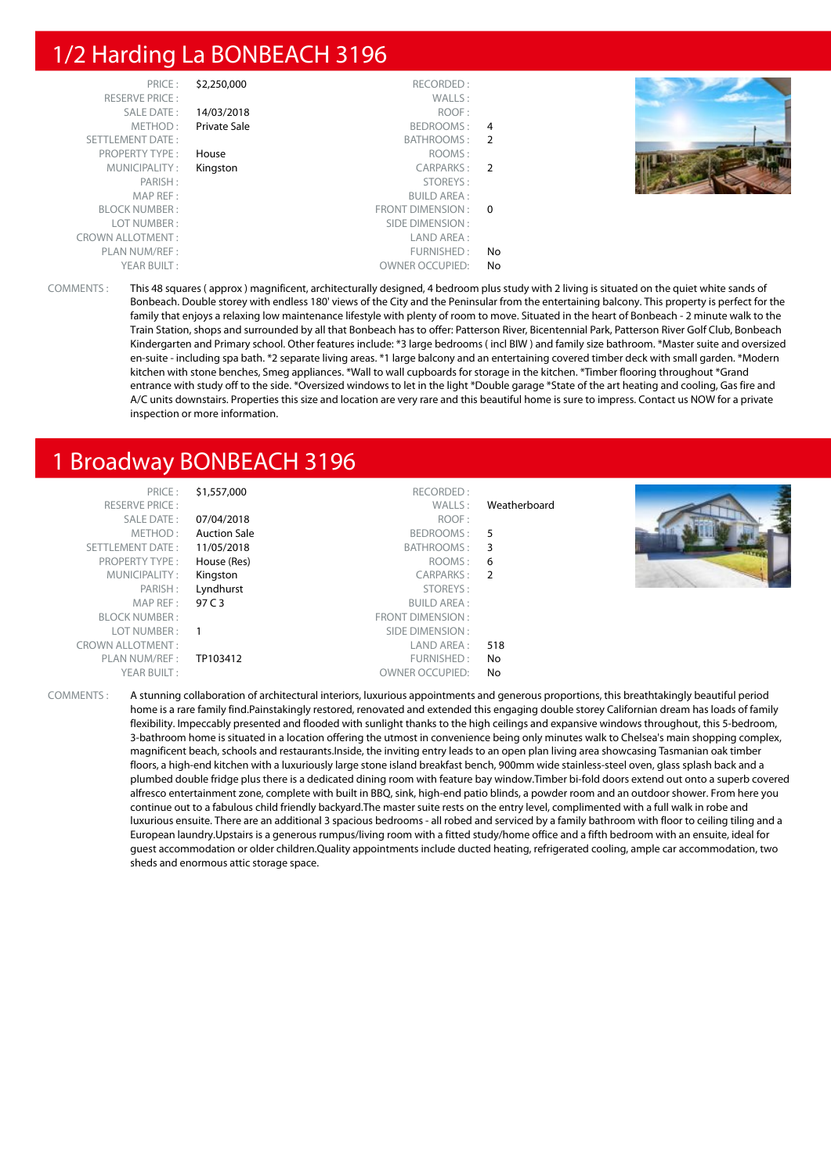#### 1/2 Harding La BONBEACH 3196

| PRICE:                  | \$2,250,000         | RECORDED:              |     |  |
|-------------------------|---------------------|------------------------|-----|--|
| <b>RESERVE PRICE:</b>   |                     | WALLS:                 |     |  |
| SALE DATE:              | 14/03/2018          | ROOF:                  |     |  |
| METHOD:                 | <b>Private Sale</b> | BEDROOMS: 4            |     |  |
| SETTLEMENT DATE:        |                     | BATHROOMS: 2           |     |  |
| <b>PROPERTY TYPE:</b>   | House               | ROOMS:                 |     |  |
| MUNICIPALITY:           | Kingston            | CARPARKS: 2            |     |  |
| PARISH:                 |                     | STOREYS:               |     |  |
| MAP REF:                |                     | <b>BUILD AREA:</b>     |     |  |
| <b>BLOCK NUMBER:</b>    |                     | FRONT DIMENSION: 0     |     |  |
| LOT NUMBER:             |                     | SIDE DIMENSION :       |     |  |
| <b>CROWN ALLOTMENT:</b> |                     | LAND AREA:             |     |  |
| PLAN NUM/REF :          |                     | FURNISHED:             | No. |  |
| YEAR BUILT:             |                     | <b>OWNER OCCUPIED:</b> | No  |  |

COMMENTS : This 48 squares ( approx ) magnificent, architecturally designed, 4 bedroom plus study with 2 living is situated on the quiet white sands of Bonbeach. Double storey with endless 180' views of the City and the Peninsular from the entertaining balcony. This property is perfect for the family that enjoys a relaxing low maintenance lifestyle with plenty of room to move. Situated in the heart of Bonbeach - 2 minute walk to the Train Station, shops and surrounded by all that Bonbeach has to offer: Patterson River, Bicentennial Park, Patterson River Golf Club, Bonbeach Kindergarten and Primary school. Other features include: \*3 large bedrooms ( incl BIW ) and family size bathroom. \*Master suite and oversized en-suite - including spa bath. \*2 separate living areas. \*1 large balcony and an entertaining covered timber deck with small garden. \*Modern kitchen with stone benches, Smeg appliances. \*Wall to wall cupboards for storage in the kitchen. \*Timber flooring throughout \*Grand entrance with study off to the side. \*Oversized windows to let in the light \*Double garage \*State of the art heating and cooling, Gas fire and A/C units downstairs. Properties this size and location are very rare and this beautiful home is sure to impress. Contact us NOW for a private inspection or more information.

#### 1 Broadway BONBEACH 3196

| PRICE:                  | \$1,557,000         | RECORDED:              |                |  |
|-------------------------|---------------------|------------------------|----------------|--|
| <b>RESERVE PRICE:</b>   |                     | WALLS:                 | Weatherboard   |  |
| SALE DATE:              | 07/04/2018          | ROOF:                  |                |  |
| METHOD:                 | <b>Auction Sale</b> | BEDROOMS:              | - 5            |  |
| SETTLEMENT DATE:        | 11/05/2018          | BATHROOMS: 3           |                |  |
| <b>PROPERTY TYPE:</b>   | House (Res)         | ROOMS:                 | - 6            |  |
| MUNICIPALITY:           | Kingston            | CARPARKS:              | $\overline{2}$ |  |
| PARISH:                 | Lyndhurst           | STOREYS:               |                |  |
| MAPREF:                 | 97 C 3              | <b>BUILD AREA:</b>     |                |  |
| <b>BLOCK NUMBER:</b>    |                     | FRONT DIMENSION:       |                |  |
| LOT NUMBER:             | $\overline{1}$      | SIDE DIMENSION :       |                |  |
| <b>CROWN ALLOTMENT:</b> |                     | LAND AREA :            | 518            |  |
| PLAN NUM/REF:           | TP103412            | FURNISHED:             | No             |  |
| YEAR BUILT:             |                     | <b>OWNER OCCUPIED:</b> | No             |  |

COMMENTS : A stunning collaboration of architectural interiors, luxurious appointments and generous proportions, this breathtakingly beautiful period home is a rare family find.Painstakingly restored, renovated and extended this engaging double storey Californian dream has loads of family flexibility. Impeccably presented and flooded with sunlight thanks to the high ceilings and expansive windows throughout, this 5-bedroom, 3-bathroom home is situated in a location offering the utmost in convenience being only minutes walk to Chelsea's main shopping complex, magnificent beach, schools and restaurants.Inside, the inviting entry leads to an open plan living area showcasing Tasmanian oak timber floors, a high-end kitchen with a luxuriously large stone island breakfast bench, 900mm wide stainless-steel oven, glass splash back and a plumbed double fridge plus there is a dedicated dining room with feature bay window.Timber bi-fold doors extend out onto a superb covered alfresco entertainment zone, complete with built in BBQ, sink, high-end patio blinds, a powder room and an outdoor shower. From here you continue out to a fabulous child friendly backyard.The master suite rests on the entry level, complimented with a full walk in robe and luxurious ensuite. There are an additional 3 spacious bedrooms - all robed and serviced by a family bathroom with floor to ceiling tiling and a European laundry.Upstairs is a generous rumpus/living room with a fitted study/home office and a fifth bedroom with an ensuite, ideal for guest accommodation or older children.Quality appointments include ducted heating, refrigerated cooling, ample car accommodation, two sheds and enormous attic storage space.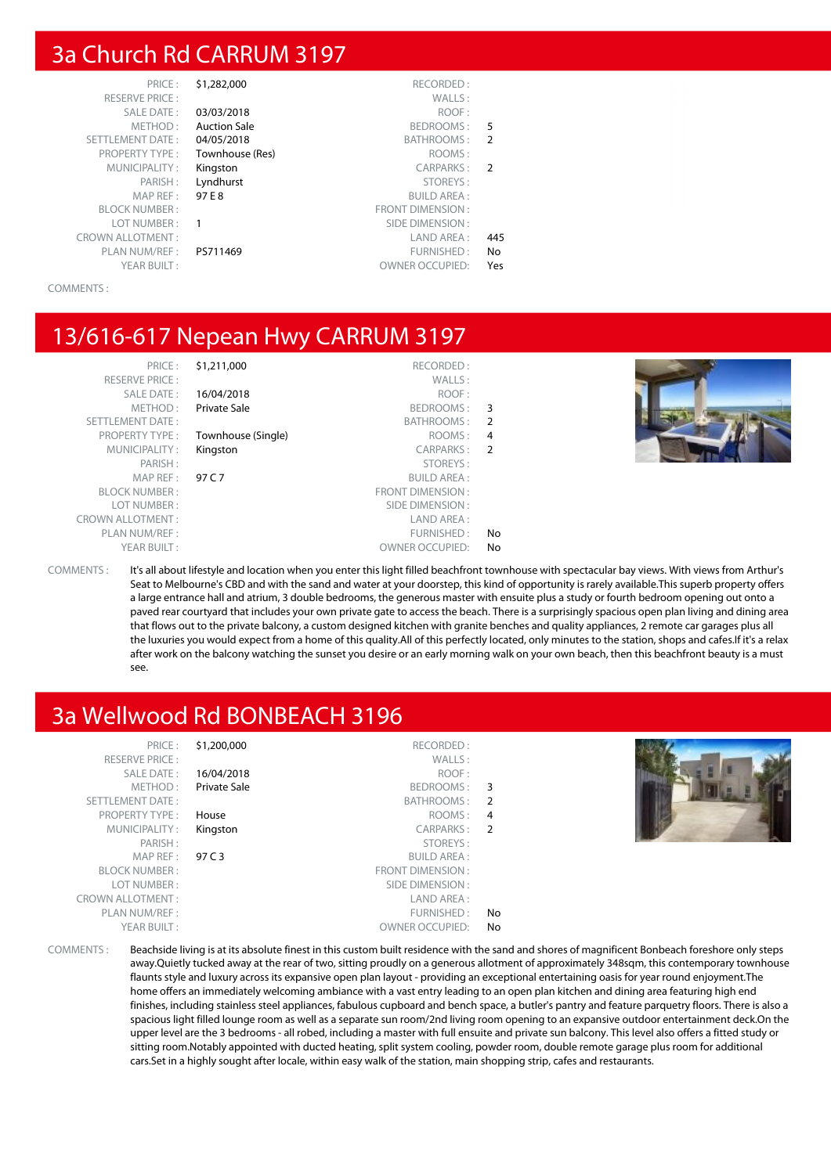#### 3a Church Rd CARRUM 3197

| PRIC F ·                |
|-------------------------|
| RFSFRVF PRICF:          |
| SAI F DATE:             |
| MFTHOD:                 |
| <b>SETTLEMENT DATE:</b> |
| <b>PROPERTY TYPE:</b>   |
| MUNICIPALITY:           |
| PARISH:                 |
| MAP RFF:                |
| <b>BI OCK NUMBER:</b>   |
| LOT NUMBER:             |
| CROWN ALLOTMENT:        |
| PI AN NUM/RFF :         |
| YFAR BUIIT :            |
|                         |

| PRICE:                  | \$1,282,000         | RECORDED:               |                |
|-------------------------|---------------------|-------------------------|----------------|
| <b>RESERVE PRICE:</b>   |                     | WALLS:                  |                |
| <b>SALE DATE:</b>       | 03/03/2018          | ROOF:                   |                |
| METHOD:                 | <b>Auction Sale</b> | BEDROOMS:               | 5              |
| <b>SETTLEMENT DATE:</b> | 04/05/2018          | <b>BATHROOMS:</b>       | $\overline{2}$ |
| <b>PROPERTY TYPE:</b>   | Townhouse (Res)     | ROOMS:                  |                |
| MUNICIPALITY:           | Kingston            | CARPARKS:               | $\mathcal{P}$  |
| PARISH:                 | Lyndhurst           | STOREYS:                |                |
| MAP REF:                | 97 E 8              | <b>BUILD AREA:</b>      |                |
| <b>BLOCK NUMBER:</b>    |                     | <b>FRONT DIMENSION:</b> |                |
| LOT NUMBER:             |                     | SIDE DIMENSION:         |                |
| <b>CROWN ALLOTMENT:</b> |                     | LAND AREA:              | 445            |
| PLAN NUM/REF:           | PS711469            | FURNISHED:              | N <sub>o</sub> |
| YEAR BUILT:             |                     | <b>OWNER OCCUPIED:</b>  | Yes            |
|                         |                     |                         |                |

COMMENTS :

#### 13/616-617 Nepean Hwy CARRUM 3197

PRICE : \$1,211,000 RECORDED : RESERVE PRICE : WALLS : SALE DATE : **16/04/2018** ROOF :<br>METHOD : **Private Sale** Research Research BEDROOMS : Private Sale **BEDROOMS** : 3 SETTLEMENT DATE :<br>PROPERTY TYPE : **Townhouse (Single)** BATHROOMS : 2 **Townhouse (Single)** ROOMS : 4 MUNICIPALITY : Kingston CARPARKS : 2 PARISH : STOREYS : MAP REF : 97 C 7 BUILD AREA : BLOCK NUMBER : THE SECOND BLOCK NUMBER : THE SECOND BLOCK NUMBER : THE SECOND BLOCK NUMBER : THE SECOND BLOCK NUMBER : THE SECOND BLOCK NUMBER : THE SECOND BLOCK NUMBER : THE SECOND BLOCK NUMBER : THE SECOND BLOCK NUMBER : LOT NUMBER : SIDE DIMENSION : CROWN ALLOTMENT :<br>PLAN NUM/REF : LAND AREA : LAND AREA : PLAN NUM/REF :  $\blacksquare$ YEAR BUILT : OWNER OCCUPIED: No



COMMENTS : It's all about lifestyle and location when you enter this light filled beachfront townhouse with spectacular bay views. With views from Arthur's Seat to Melbourne's CBD and with the sand and water at your doorstep, this kind of opportunity is rarely available.This superb property offers a large entrance hall and atrium, 3 double bedrooms, the generous master with ensuite plus a study or fourth bedroom opening out onto a paved rear courtyard that includes your own private gate to access the beach. There is a surprisingly spacious open plan living and dining area that flows out to the private balcony, a custom designed kitchen with granite benches and quality appliances, 2 remote car garages plus all the luxuries you would expect from a home of this quality.All of this perfectly located, only minutes to the station, shops and cafes.If it's a relax after work on the balcony watching the sunset you desire or an early morning walk on your own beach, then this beachfront beauty is a must see.

#### 3a Wellwood Rd BONBEACH 3196

| <b>21,ZU</b> | <b>PRIUF:</b>           |
|--------------|-------------------------|
|              | <b>RESERVE PRICE:</b>   |
| 16/04        | SALE DATE:              |
| Priva        | METHOD :                |
|              | <b>SETTLEMENT DATE:</b> |
| Hous         | PROPERTY TYPE:          |
| Kings        | MUNICIPALITY:           |
|              | PARISH:                 |
| 97 C         | MAPREF:                 |
|              | <b>BLOCK NUMBER:</b>    |
|              | LOT NUMBER:             |
|              | <b>CROWN ALLOTMENT:</b> |
|              | PLAN NUM/REF:           |
|              | YEAR BUILT:             |
|              |                         |

| 3              |
|----------------|
| $\mathcal{P}$  |
| 4              |
| $\overline{2}$ |
|                |
|                |
|                |
|                |
|                |
| No             |
| No             |
|                |



COMMENTS : Beachside living is at its absolute finest in this custom built residence with the sand and shores of magnificent Bonbeach foreshore only steps away.Quietly tucked away at the rear of two, sitting proudly on a generous allotment of approximately 348sqm, this contemporary townhouse flaunts style and luxury across its expansive open plan layout - providing an exceptional entertaining oasis for year round enjoyment.The home offers an immediately welcoming ambiance with a vast entry leading to an open plan kitchen and dining area featuring high end finishes, including stainless steel appliances, fabulous cupboard and bench space, a butler's pantry and feature parquetry floors. There is also a spacious light filled lounge room as well as a separate sun room/2nd living room opening to an expansive outdoor entertainment deck.On the upper level are the 3 bedrooms - all robed, including a master with full ensuite and private sun balcony. This level also offers a fitted study or sitting room.Notably appointed with ducted heating, split system cooling, powder room, double remote garage plus room for additional cars.Set in a highly sought after locale, within easy walk of the station, main shopping strip, cafes and restaurants.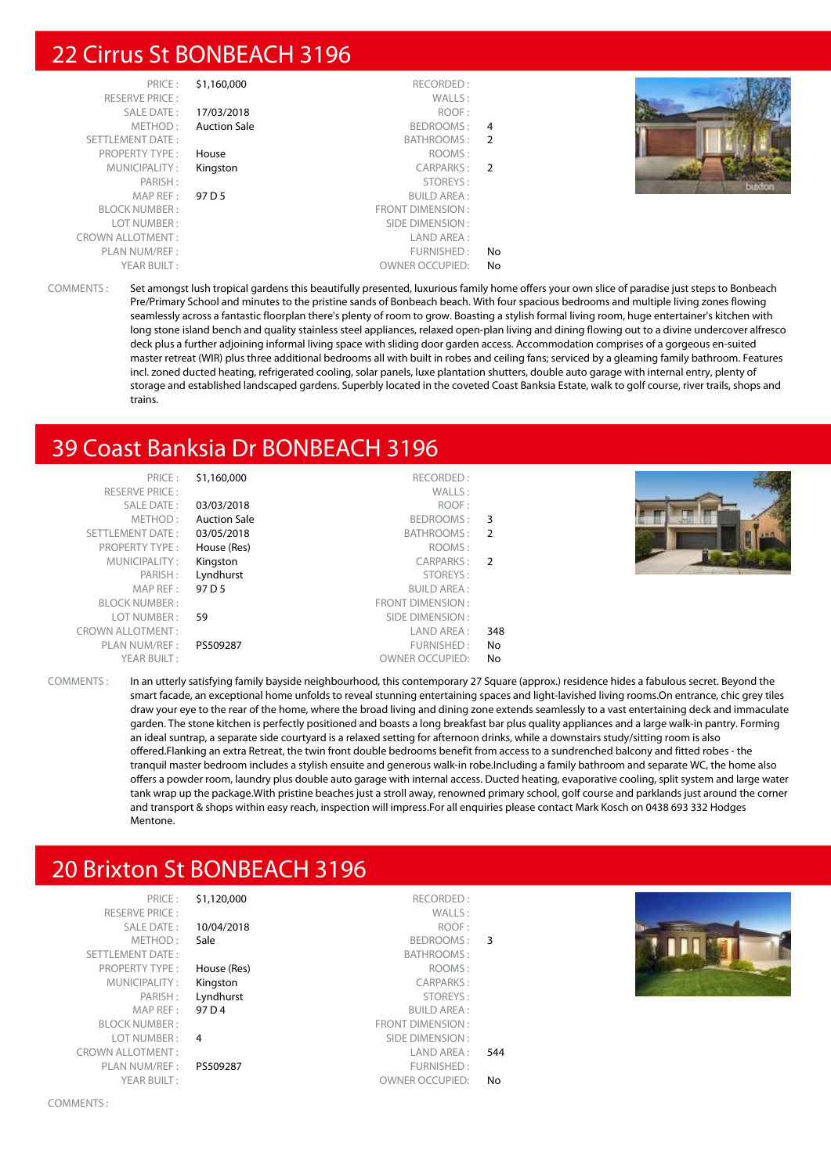#### 22 Cirrus St BONBEACH 3196

| PRICE:                  | \$1,160,000         | RECORDED:              |                |  |
|-------------------------|---------------------|------------------------|----------------|--|
| <b>RESERVE PRICE:</b>   |                     | WALLS:                 |                |  |
| SALE DATE:              | 17/03/2018          | ROOF:                  |                |  |
| METHOD:                 | <b>Auction Sale</b> | BEDROOMS:              | 4              |  |
| SETTLEMENT DATE:        |                     | BATHROOMS:             | 2              |  |
| <b>PROPERTY TYPE:</b>   | House               | ROOMS:                 |                |  |
| MUNICIPALITY:           | Kingston            | CARPARKS:              | $\overline{2}$ |  |
| PARISH:                 |                     | STOREYS:               |                |  |
| MAP REF:                | 97 D 5              | <b>BUILD AREA:</b>     |                |  |
| <b>BLOCK NUMBER:</b>    |                     | FRONT DIMENSION:       |                |  |
| LOT NUMBER:             |                     | SIDE DIMENSION:        |                |  |
| <b>CROWN ALLOTMENT:</b> |                     | LAND AREA:             |                |  |
| PLAN NUM/REF:           |                     | FURNISHED:             | No             |  |
| YEAR BUILT:             |                     | <b>OWNER OCCUPIED:</b> | No             |  |



COMMENTS : Set amongst lush tropical gardens this beautifully presented, luxurious family home offers your own slice of paradise just steps to Bonbeach Pre/Primary School and minutes to the pristine sands of Bonbeach beach. With four spacious bedrooms and multiple living zones flowing seamlessly across a fantastic floorplan there's plenty of room to grow. Boasting a stylish formal living room, huge entertainer's kitchen with long stone island bench and quality stainless steel appliances, relaxed open-plan living and dining flowing out to a divine undercover alfresco deck plus a further adjoining informal living space with sliding door garden access. Accommodation comprises of a gorgeous en-suited master retreat (WIR) plus three additional bedrooms all with built in robes and ceiling fans; serviced by a gleaming family bathroom. Features incl. zoned ducted heating, refrigerated cooling, solar panels, luxe plantation shutters, double auto garage with internal entry, plenty of storage and established landscaped gardens. Superbly located in the coveted Coast Banksia Estate, walk to golf course, river trails, shops and trains.

#### 39 Coast Banksia Dr BONBEACH 3196

| \$1,160,000         | RECORDED:              |     |                                            |
|---------------------|------------------------|-----|--------------------------------------------|
|                     | WALLS:                 |     |                                            |
| 03/03/2018          | ROOF:                  |     |                                            |
| <b>Auction Sale</b> |                        |     |                                            |
| 03/05/2018          |                        |     |                                            |
| House (Res)         | ROOMS:                 |     |                                            |
| Kingston            |                        |     |                                            |
| Lyndhurst           | STOREYS:               |     |                                            |
| 97 D 5              | <b>BUILD AREA:</b>     |     |                                            |
|                     | FRONT DIMENSION :      |     |                                            |
| 59                  | SIDE DIMENSION :       |     |                                            |
|                     | LAND AREA :            | 348 |                                            |
| PS509287            | FURNISHED:             | No  |                                            |
|                     | <b>OWNER OCCUPIED:</b> | No  |                                            |
|                     |                        |     | BEDROOMS: 3<br>BATHROOMS: 2<br>CARPARKS: 2 |

COMMENTS : In an utterly satisfying family bayside neighbourhood, this contemporary 27 Square (approx.) residence hides a fabulous secret. Beyond the smart facade, an exceptional home unfolds to reveal stunning entertaining spaces and light-lavished living rooms.On entrance, chic grey tiles draw your eye to the rear of the home, where the broad living and dining zone extends seamlessly to a vast entertaining deck and immaculate garden. The stone kitchen is perfectly positioned and boasts a long breakfast bar plus quality appliances and a large walk-in pantry. Forming an ideal suntrap, a separate side courtyard is a relaxed setting for afternoon drinks, while a downstairs study/sitting room is also offered.Flanking an extra Retreat, the twin front double bedrooms benefit from access to a sundrenched balcony and fitted robes - the tranquil master bedroom includes a stylish ensuite and generous walk-in robe.Including a family bathroom and separate WC, the home also offers a powder room, laundry plus double auto garage with internal access. Ducted heating, evaporative cooling, split system and large water tank wrap up the package.With pristine beaches just a stroll away, renowned primary school, golf course and parklands just around the corner and transport & shops within easy reach, inspection will impress.For all enquiries please contact Mark Kosch on 0438 693 332 Hodges Mentone.

## 20 Brixton St BONBEACH 3196

RESERVE PRICE : SETTLEMENT DATE: PROPERTY TYPE : House (Res) MUNICIPALITY : Kingston MAP REF : 97 D 4 BLOCK NUMBER : LOT NUMBER : 4 PLAN NUM/REF : PS509287

PRICE : \$1,120,000 RECORDED : SALE DATE: 10/04/2018 METHOD : Sale BEDROOMS : 3 PARISH: Lyndhurst CROWN ALLOTMENT : LAND AREA : 544 YEAR BUILT : OWNER OCCUPIED: No

|    | WALLS:                  |
|----|-------------------------|
|    | ROOF:                   |
| 3  | BEDROOMS:               |
|    | BATHROOMS:              |
|    | ROOMS:                  |
|    | <b>CARPARKS:</b>        |
|    | STOREYS:                |
|    | <b>BUILD AREA:</b>      |
|    | <b>FRONT DIMENSION:</b> |
|    | SIDE DIMENSION:         |
| 54 | I AND ARFA :            |
|    | FURNISHED:              |
| N٥ | OWNER OCCUPIED:         |

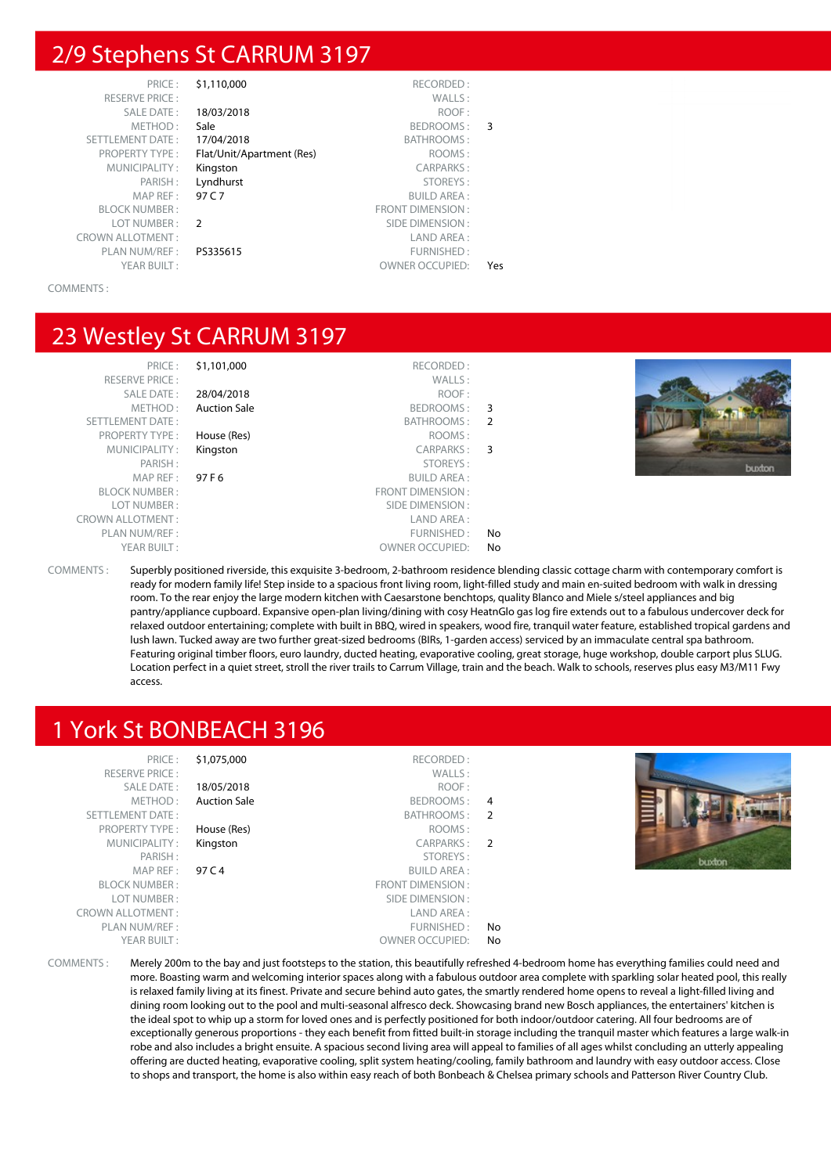#### 2/9 Stephens St CARRUM 3197

| PRICE:                  | \$1,110,000               | RECORDED:               |     |
|-------------------------|---------------------------|-------------------------|-----|
| <b>RESERVE PRICE:</b>   |                           | WALLS:                  |     |
| SALE DATE:              | 18/03/2018                | ROOF:                   |     |
| METHOD:                 | Sale                      | BEDROOMS:               | 3   |
| <b>SETTLEMENT DATE:</b> | 17/04/2018                | BATHROOMS:              |     |
| <b>PROPERTY TYPE:</b>   | Flat/Unit/Apartment (Res) | ROOMS:                  |     |
| MUNICIPALITY:           | Kingston                  | <b>CARPARKS:</b>        |     |
| PARISH:                 | Lyndhurst                 | STOREYS:                |     |
| MAP REF:                | 97 C 7                    | <b>BUILD AREA:</b>      |     |
| <b>BLOCK NUMBER:</b>    |                           | <b>FRONT DIMENSION:</b> |     |
| LOT NUMBER:             | $\mathcal{P}$             | SIDE DIMENSION:         |     |
| <b>CROWN ALLOTMENT:</b> |                           | LAND AREA:              |     |
| PLAN NUM/REF :          | PS335615                  | FURNISHED:              |     |
| YEAR BUILT:             |                           | <b>OWNER OCCUPIED:</b>  | Yes |
|                         |                           |                         |     |

COMMENTS :

#### 23 Westley St CARRUM 3197

PRICE : \$1,101,000 RECORDED : RESERVE PRICE : WALLS : SALE DATE : **28/04/2018** ROOF :<br>METHOD : **Auction Sale** METHOD : **Auction Sale** Auction Sale **BEDROOMS** : 3 SETTLEMENT DATE : BATHROOMS : 2 PROPERTY TYPE : **House (Res)** ROOMS : MUNICIPALITY : Kingston CARPARKS : 3 PARISH : STOREYS : MAP REF : 97 F 6 BUILD AREA : BLOCK NUMBER : FRONT DIMENSION : LOT NUMBER : SIDE DIMENSION : CROWN ALLOTMENT :<br>PLAN NUM/REF : LAND AREA : LAND AREA : PLAN NUM/REF :  $\blacksquare$ YEAR BUILT : OWNER OCCUPIED: No



COMMENTS : Superbly positioned riverside, this exquisite 3-bedroom, 2-bathroom residence blending classic cottage charm with contemporary comfort is ready for modern family life! Step inside to a spacious front living room, light-filled study and main en-suited bedroom with walk in dressing room. To the rear enjoy the large modern kitchen with Caesarstone benchtops, quality Blanco and Miele s/steel appliances and big pantry/appliance cupboard. Expansive open-plan living/dining with cosy HeatnGlo gas log fire extends out to a fabulous undercover deck for relaxed outdoor entertaining; complete with built in BBQ, wired in speakers, wood fire, tranquil water feature, established tropical gardens and lush lawn. Tucked away are two further great-sized bedrooms (BIRs, 1-garden access) serviced by an immaculate central spa bathroom. Featuring original timber floors, euro laundry, ducted heating, evaporative cooling, great storage, huge workshop, double carport plus SLUG. Location perfect in a quiet street, stroll the river trails to Carrum Village, train and the beach. Walk to schools, reserves plus easy M3/M11 Fwy access.

#### 1 York St BONBEACH 3196

| PRICE:<br><b>RESERVE PRICE:</b><br>SALE DATE:<br>METHOD:<br>SETTLEMENT DATE:<br><b>PROPERTY TYPE:</b><br>MUNICIPALITY:<br>PARISH:<br>MAP REF :<br><b>BLOCK NUMBER:</b><br>LOT NUMBER:<br><b>CROWN ALLOTMENT:</b><br>PLAN NUM/REF :<br>YEAR BUILT: | \$1,075,000<br>18/05/2018<br><b>Auction Sale</b><br>House (Res)<br>Kingston<br>97 C 4 | RECORDED:<br>WALLS:<br>ROOF:<br>BEDROOMS:<br>BATHROOMS:<br>ROOMS:<br>CARPARKS: 2<br>STOREYS:<br><b>BUILD AREA:</b><br>FRONT DIMENSION:<br>SIDE DIMENSION :<br>LAND AREA :<br>FURNISHED:<br><b>OWNER OCCUPIED:</b> | 4<br>$\overline{2}$<br>No<br>No | buxton |
|---------------------------------------------------------------------------------------------------------------------------------------------------------------------------------------------------------------------------------------------------|---------------------------------------------------------------------------------------|-------------------------------------------------------------------------------------------------------------------------------------------------------------------------------------------------------------------|---------------------------------|--------|
|---------------------------------------------------------------------------------------------------------------------------------------------------------------------------------------------------------------------------------------------------|---------------------------------------------------------------------------------------|-------------------------------------------------------------------------------------------------------------------------------------------------------------------------------------------------------------------|---------------------------------|--------|

COMMENTS : Merely 200m to the bay and just footsteps to the station, this beautifully refreshed 4-bedroom home has everything families could need and more. Boasting warm and welcoming interior spaces along with a fabulous outdoor area complete with sparkling solar heated pool, this really is relaxed family living at its finest. Private and secure behind auto gates, the smartly rendered home opens to reveal a light-filled living and dining room looking out to the pool and multi-seasonal alfresco deck. Showcasing brand new Bosch appliances, the entertainers' kitchen is the ideal spot to whip up a storm for loved ones and is perfectly positioned for both indoor/outdoor catering. All four bedrooms are of exceptionally generous proportions - they each benefit from fitted built-in storage including the tranquil master which features a large walk-in robe and also includes a bright ensuite. A spacious second living area will appeal to families of all ages whilst concluding an utterly appealing offering are ducted heating, evaporative cooling, split system heating/cooling, family bathroom and laundry with easy outdoor access. Close to shops and transport, the home is also within easy reach of both Bonbeach & Chelsea primary schools and Patterson River Country Club.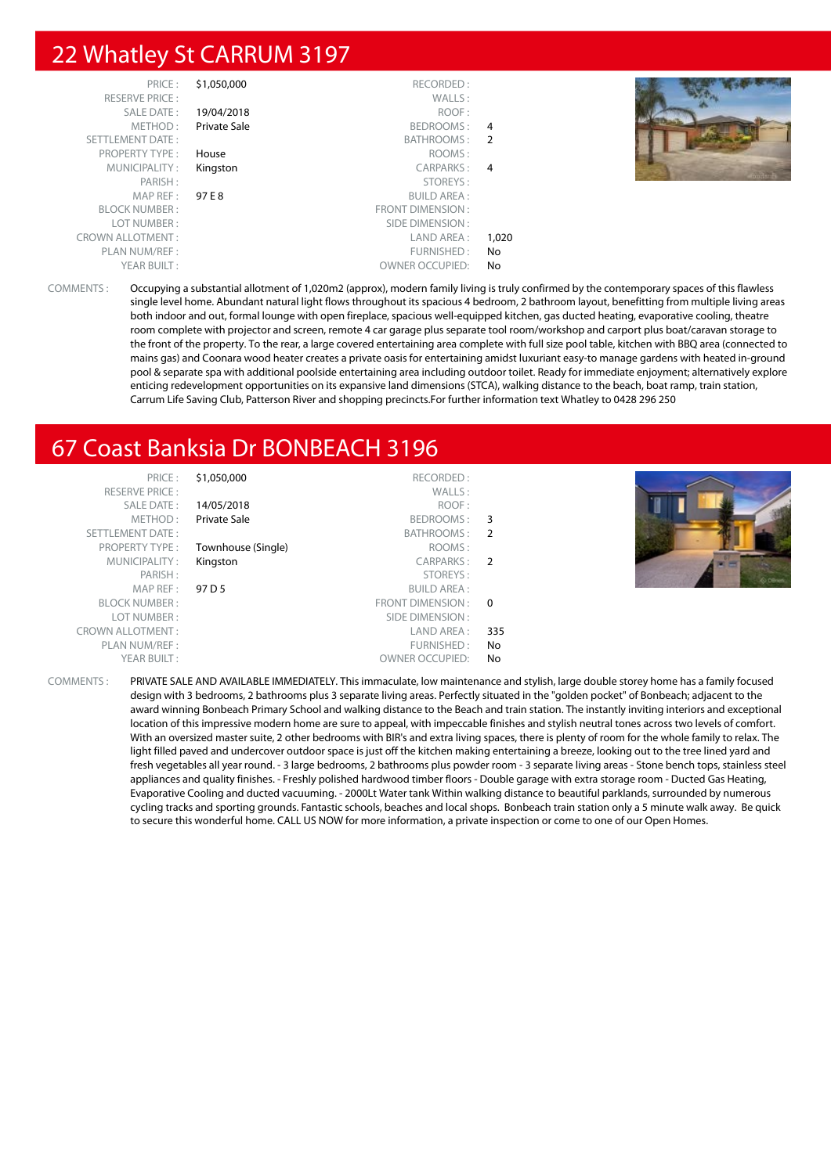#### 22 Whatley St CARRUM 3197

| PRICE:<br><b>RESERVE PRICE:</b><br>SALE DATE: | \$1,050,000<br>19/04/2018 | RECORDED:<br>WALLS:<br>ROOF: |       |  |
|-----------------------------------------------|---------------------------|------------------------------|-------|--|
| METHOD:<br>SETTLEMENT DATE:                   | Private Sale              | BEDROOMS: 4<br>BATHROOMS: 2  |       |  |
| <b>PROPERTY TYPE:</b>                         | House                     | ROOMS:                       |       |  |
| MUNICIPALITY:                                 | Kingston                  | CARPARKS: 4                  |       |  |
| PARISH:                                       |                           | STOREYS:                     |       |  |
| MAPREF:                                       | 97 E 8                    | <b>BUILD AREA:</b>           |       |  |
| <b>BLOCK NUMBER:</b>                          |                           | <b>FRONT DIMENSION:</b>      |       |  |
| LOT NUMBER:                                   |                           | SIDE DIMENSION :             |       |  |
| <b>CROWN ALLOTMENT:</b>                       |                           | LAND AREA :                  | 1,020 |  |
| PLAN NUM/REF :                                |                           | FURNISHED:                   | No    |  |
| YEAR BUILT:                                   |                           | <b>OWNER OCCUPIED:</b>       | No    |  |

COMMENTS : Occupying a substantial allotment of 1,020m2 (approx), modern family living is truly confirmed by the contemporary spaces of this flawless single level home. Abundant natural light flows throughout its spacious 4 bedroom, 2 bathroom layout, benefitting from multiple living areas both indoor and out, formal lounge with open fireplace, spacious well-equipped kitchen, gas ducted heating, evaporative cooling, theatre room complete with projector and screen, remote 4 car garage plus separate tool room/workshop and carport plus boat/caravan storage to the front of the property. To the rear, a large covered entertaining area complete with full size pool table, kitchen with BBQ area (connected to mains gas) and Coonara wood heater creates a private oasis for entertaining amidst luxuriant easy-to manage gardens with heated in-ground pool & separate spa with additional poolside entertaining area including outdoor toilet. Ready for immediate enjoyment; alternatively explore enticing redevelopment opportunities on its expansive land dimensions (STCA), walking distance to the beach, boat ramp, train station, Carrum Life Saving Club, Patterson River and shopping precincts.For further information text Whatley to 0428 296 250

#### 67 Coast Banksia Dr BONBEACH 3196

| PRICE:                  | \$1,050,000        | RECORDED:              |          |  |
|-------------------------|--------------------|------------------------|----------|--|
| <b>RESERVE PRICE:</b>   |                    | WALLS:                 |          |  |
| SALE DATE:              | 14/05/2018         | ROOF:                  |          |  |
| METHOD:                 | Private Sale       | BEDROOMS:              | - 3      |  |
| <b>SETTLEMENT DATE:</b> |                    | BATHROOMS:             | -2       |  |
| <b>PROPERTY TYPE:</b>   | Townhouse (Single) | ROOMS:                 |          |  |
| MUNICIPALITY:           | Kingston           | CARPARKS:              | - 2      |  |
| PARISH:                 |                    | STOREYS:               |          |  |
| MAP REF:                | 97 D 5             | <b>BUILD AREA:</b>     |          |  |
| <b>BLOCK NUMBER:</b>    |                    | FRONT DIMENSION :      | $\Omega$ |  |
| LOT NUMBER:             |                    | SIDE DIMENSION :       |          |  |
| <b>CROWN ALLOTMENT:</b> |                    | LAND AREA :            | 335      |  |
| PLAN NUM/REF:           |                    | FURNISHED:             | No       |  |
| YEAR BUILT:             |                    | <b>OWNER OCCUPIED:</b> | No       |  |
|                         |                    |                        |          |  |



COMMENTS : PRIVATE SALE AND AVAILABLE IMMEDIATELY. This immaculate, low maintenance and stylish, large double storey home has a family focused design with 3 bedrooms, 2 bathrooms plus 3 separate living areas. Perfectly situated in the "golden pocket" of Bonbeach; adjacent to the award winning Bonbeach Primary School and walking distance to the Beach and train station. The instantly inviting interiors and exceptional location of this impressive modern home are sure to appeal, with impeccable finishes and stylish neutral tones across two levels of comfort. With an oversized master suite, 2 other bedrooms with BIR's and extra living spaces, there is plenty of room for the whole family to relax. The light filled paved and undercover outdoor space is just off the kitchen making entertaining a breeze, looking out to the tree lined yard and fresh vegetables all year round. - 3 large bedrooms, 2 bathrooms plus powder room - 3 separate living areas - Stone bench tops, stainless steel appliances and quality finishes. - Freshly polished hardwood timber floors - Double garage with extra storage room - Ducted Gas Heating, Evaporative Cooling and ducted vacuuming. - 2000Lt Water tank Within walking distance to beautiful parklands, surrounded by numerous cycling tracks and sporting grounds. Fantastic schools, beaches and local shops. Bonbeach train station only a 5 minute walk away. Be quick to secure this wonderful home. CALL US NOW for more information, a private inspection or come to one of our Open Homes.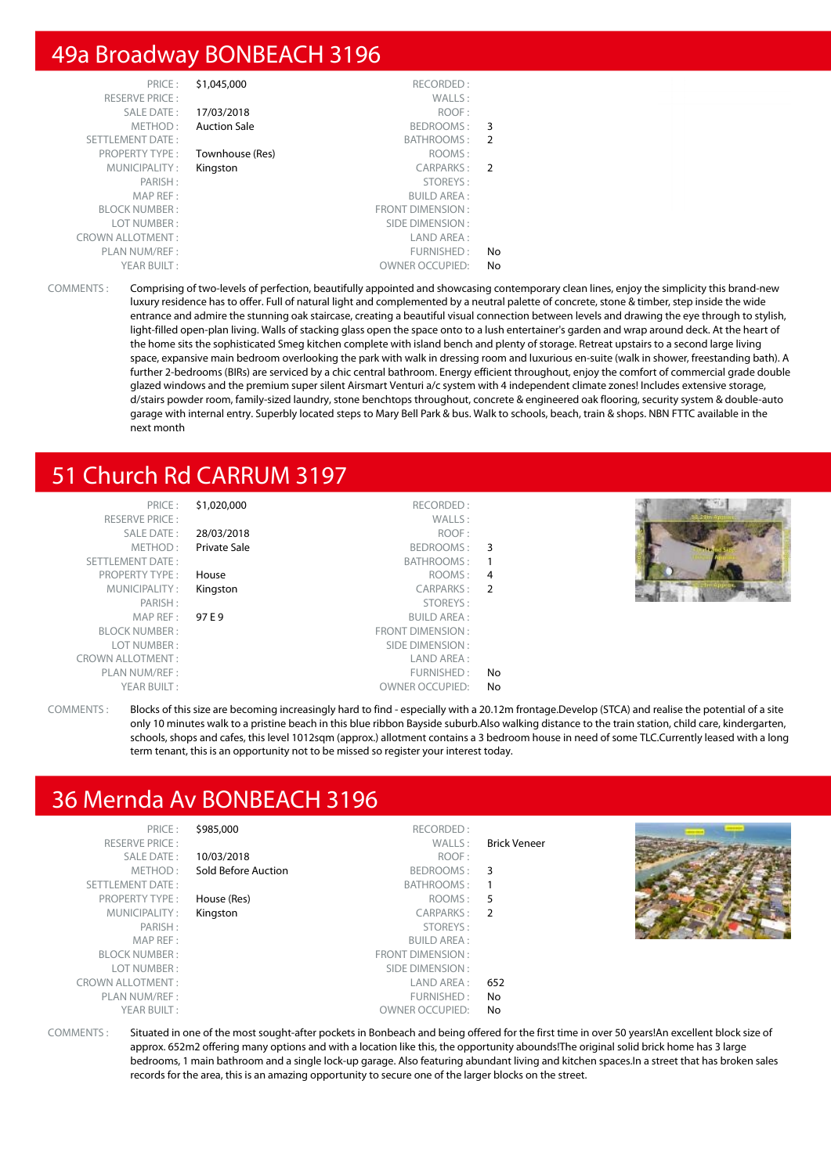#### 49a Broadway BONBEACH 3196

|               | \$1,045,000<br>RECORDED:         | PRICE:                  |  |
|---------------|----------------------------------|-------------------------|--|
|               | WALLS:                           | <b>RESERVE PRICE:</b>   |  |
|               | ROOF:<br>17/03/2018              | <b>SALE DATE:</b>       |  |
| 3             | <b>Auction Sale</b><br>BEDROOMS: | METHOD:                 |  |
| 2             | BATHROOMS:                       | <b>SETTLEMENT DATE:</b> |  |
|               | ROOMS:<br>Townhouse (Res)        | <b>PROPERTY TYPE:</b>   |  |
| $\mathcal{P}$ | <b>CARPARKS:</b><br>Kingston     | MUNICIPALITY:           |  |
|               | STOREYS:                         | PARISH:                 |  |
|               | <b>BUILD AREA:</b>               | MAP REF:                |  |
|               | <b>FRONT DIMENSION:</b>          | <b>BLOCK NUMBER:</b>    |  |
|               | SIDE DIMENSION:                  | LOT NUMBER:             |  |
|               | LAND AREA:                       | <b>CROWN ALLOTMENT:</b> |  |
| No            | FURNISHED:                       | PLAN NUM/REF :          |  |
| No            | <b>OWNER OCCUPIED:</b>           | YEAR BUILT:             |  |
|               |                                  |                         |  |

COMMENTS : Comprising of two-levels of perfection, beautifully appointed and showcasing contemporary clean lines, enjoy the simplicity this brand-new luxury residence has to offer. Full of natural light and complemented by a neutral palette of concrete, stone & timber, step inside the wide entrance and admire the stunning oak staircase, creating a beautiful visual connection between levels and drawing the eye through to stylish, light-filled open-plan living. Walls of stacking glass open the space onto to a lush entertainer's garden and wrap around deck. At the heart of the home sits the sophisticated Smeg kitchen complete with island bench and plenty of storage. Retreat upstairs to a second large living space, expansive main bedroom overlooking the park with walk in dressing room and luxurious en-suite (walk in shower, freestanding bath). A further 2-bedrooms (BIRs) are serviced by a chic central bathroom. Energy efficient throughout, enjoy the comfort of commercial grade double glazed windows and the premium super silent Airsmart Venturi a/c system with 4 independent climate zones! Includes extensive storage, d/stairs powder room, family-sized laundry, stone benchtops throughout, concrete & engineered oak flooring, security system & double-auto garage with internal entry. Superbly located steps to Mary Bell Park & bus. Walk to schools, beach, train & shops. NBN FTTC available in the next month

#### 51 Church Rd CARRUM 3197

| PRICE:<br><b>RESERVE PRICE:</b> | \$1,020,000  | RECORDED:<br>WALLS:    |    |  |
|---------------------------------|--------------|------------------------|----|--|
| SALE DATE:                      | 28/03/2018   | ROOF:                  |    |  |
| METHOD:                         | Private Sale | BEDROOMS: 3            |    |  |
| SETTLEMENT DATE:                |              | BATHROOMS:             |    |  |
| <b>PROPERTY TYPE:</b>           | House        | ROOMS: 4               |    |  |
| MUNICIPALITY:                   | Kingston     | CARPARKS: 2            |    |  |
| PARISH:                         |              | STOREYS:               |    |  |
| MAP REF:                        | 97 E 9       | <b>BUILD AREA:</b>     |    |  |
| <b>BLOCK NUMBER:</b>            |              | FRONT DIMENSION:       |    |  |
| LOT NUMBER :                    |              | SIDE DIMENSION :       |    |  |
| <b>CROWN ALLOTMENT:</b>         |              | LAND AREA:             |    |  |
| PLAN NUM/REF :                  |              | FURNISHED:             | No |  |
| YEAR BUILT:                     |              | <b>OWNER OCCUPIED:</b> | No |  |

COMMENTS : Blocks of this size are becoming increasingly hard to find - especially with a 20.12m frontage.Develop (STCA) and realise the potential of a site only 10 minutes walk to a pristine beach in this blue ribbon Bayside suburb.Also walking distance to the train station, child care, kindergarten, schools, shops and cafes, this level 1012sqm (approx.) allotment contains a 3 bedroom house in need of some TLC.Currently leased with a long term tenant, this is an opportunity not to be missed so register your interest today.

#### 36 Mernda Av BONBEACH 3196

| PRICE:                  | \$985,000           | RECORDED:              |                     |  |
|-------------------------|---------------------|------------------------|---------------------|--|
| <b>RESERVE PRICE:</b>   |                     | WALLS:                 | <b>Brick Veneer</b> |  |
| SALE DATE:              | 10/03/2018          | ROOF:                  |                     |  |
| METHOD:                 | Sold Before Auction | BEDROOMS: 3            |                     |  |
| SETTLEMENT DATE:        |                     | BATHROOMS:             |                     |  |
| <b>PROPERTY TYPE:</b>   | House (Res)         | ROOMS: 5               |                     |  |
| MUNICIPALITY:           | Kingston            | CARPARKS: 2            |                     |  |
| PARISH:                 |                     | STOREYS:               |                     |  |
| MAP REF:                |                     | <b>BUILD AREA:</b>     |                     |  |
| <b>BLOCK NUMBER:</b>    |                     | FRONT DIMENSION:       |                     |  |
| LOT NUMBER:             |                     | SIDE DIMENSION :       |                     |  |
| <b>CROWN ALLOTMENT:</b> |                     | LAND AREA :            | 652                 |  |
| PLAN NUM/REF:           |                     | FURNISHED:             | No.                 |  |
| YEAR BUILT:             |                     | <b>OWNER OCCUPIED:</b> | No.                 |  |
|                         |                     |                        |                     |  |

COMMENTS : Situated in one of the most sought-after pockets in Bonbeach and being offered for the first time in over 50 years!An excellent block size of approx. 652m2 offering many options and with a location like this, the opportunity abounds!The original solid brick home has 3 large bedrooms, 1 main bathroom and a single lock-up garage. Also featuring abundant living and kitchen spaces.In a street that has broken sales records for the area, this is an amazing opportunity to secure one of the larger blocks on the street.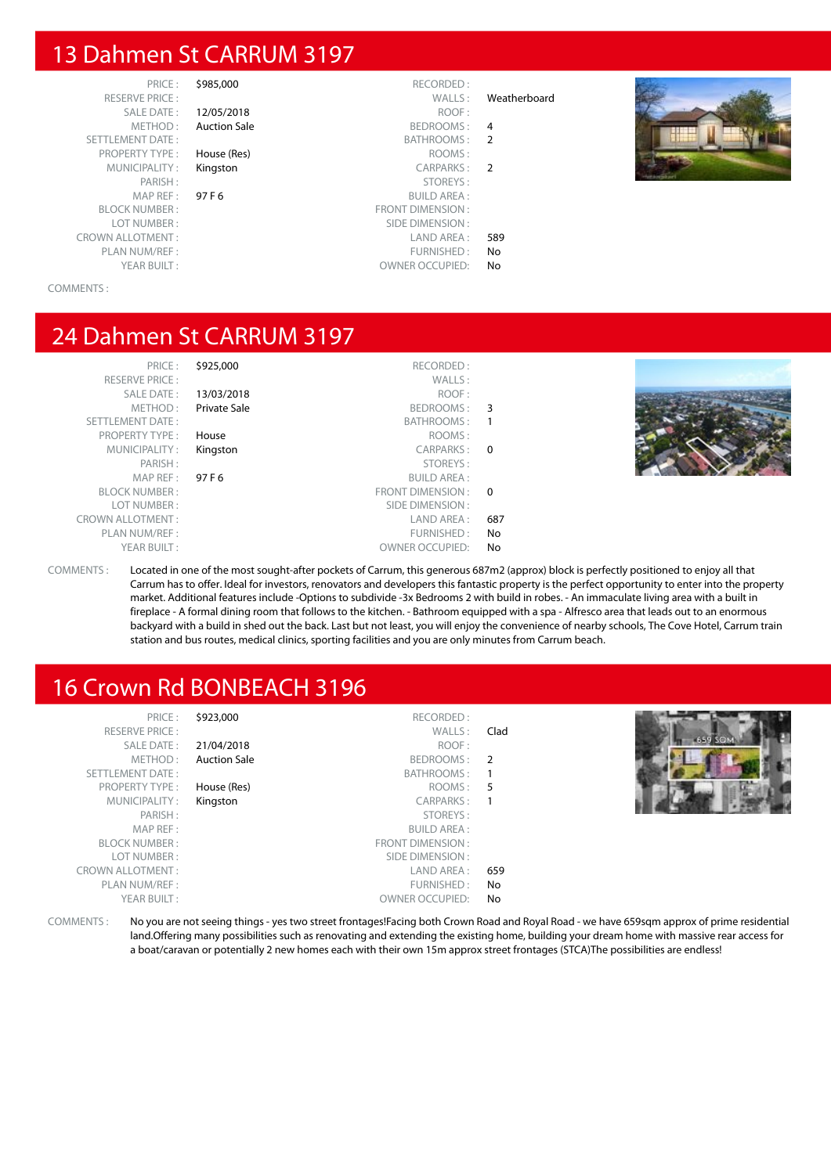#### 13 Dahmen St CARRUM 3197

PRICE : \$985,000 RECORDED :<br>PRICE : WALLS : RESERVE PRICE : WALLS : Weatherboard CROWN ALLOTMENT :<br>
PLAN NUM/REF : 
PLAN NUM/REF :

SALE DATE : **12/05/2018** ROOF :

METHOD: Auction Sale BEDROOMS: 4 SETTLEMENT DATE : BATHROOMS : 2 PROPERTY TYPE : **House (Res)** ROOMS : MUNICIPALITY : **Kingston** CARPARKS : 2 PARISH : STOREYS : STOREYS : STOREYS : STOREYS : STOREYS : STOREYS : STOREYS : SUILD AREA : MAP REF : **97 F 6** BUILD AREA :<br>BLOCK NUMBER · **BLOCK NUMBER** · **FRONT DIMENSION** · ERONT DIMENSION :<br>Example of the contract of the contract of the contract of the contract of the contract of the contract of the<br>SIDE DIMENSION : SIDE DIMENSION :

PLAN NUM/REF : FURNISHED : No PLAN NUM/REF : FURNISHED : No PLAN NUM/REF : COMMER OCCUPIED : No PLAN NUMER OCCUPIED : No PLAN NUMER OCCUPIED : No PLAN NUMER OCCUPIED : No PLAN NUMER OCCUPIED : No PLAN NUMER OCCUPIED : No P OWNER OCCUPIED: No



COMMENTS :

#### 24 Dahmen St CARRUM 3197

PRICE : \$925,000 RECORDED : RESERVE PRICE : WALLS : SALE DATE : **13/03/2018** ROOF :<br>METHOD : **Private Sale** Research Research BEDROOMS : Private Sale **BEDROOMS** : 3 SETTLEMENT DATE : BATHROOMS : 1 PROPERTY TYPE : **House** ROOMS : ROOMS : ROOMS : ROOMS : ROOMS : ROOMS : ROOMS : ROOMS : ROOMS : ROOMS : ROOMS : ROOMS : ROOMS : ROOMS : ROOMS : ROOMS : ROOMS : ROOMS : ROOMS : ROOMS : ROOMS : ROOMS : ROOMS : ROOMS : ROOMS MUNICIPALITY: Kingston CARPARKS: 0 PARISH : STOREYS : MAP REF : 97 F 6 BUILD AREA : BLOCK NUMBER : THE SERVICE OF THE SERVICE OF THE SERVICE OF THE SERVICE OF THE SERVICE OF THE SERVICE OF THE SERVICE OF THE SERVICE OF THE SERVICE OF THE SERVICE OF THE SERVICE OF THE SERVICE OF THE SERVICE OF THE SERVICE LOT NUMBER : SIDE DIMENSION : CROWN ALLOTMENT :<br>PLAN NUM/REF : LAND AREA : 687 PLAN NUM/REF :  $\blacksquare$ YEAR BUILT : OWNER OCCUPIED: No



COMMENTS : Located in one of the most sought-after pockets of Carrum, this generous 687m2 (approx) block is perfectly positioned to enjoy all that Carrum has to offer. Ideal for investors, renovators and developers this fantastic property is the perfect opportunity to enter into the property market. Additional features include -Options to subdivide -3x Bedrooms 2 with build in robes. - An immaculate living area with a built in fireplace - A formal dining room that follows to the kitchen. - Bathroom equipped with a spa - Alfresco area that leads out to an enormous backyard with a build in shed out the back. Last but not least, you will enjoy the convenience of nearby schools, The Cove Hotel, Carrum train station and bus routes, medical clinics, sporting facilities and you are only minutes from Carrum beach.

#### 16 Crown Rd BONBEACH 3196

| PRICE:<br><b>RESERVE PRICE:</b> | \$923,000           | RECORDED:<br>WALLS:     | Clad |  |
|---------------------------------|---------------------|-------------------------|------|--|
| <b>SALE DATE:</b>               | 21/04/2018          | ROOF:                   |      |  |
| METHOD:                         | <b>Auction Sale</b> | BEDROOMS: 2             |      |  |
| SETTLEMENT DATE:                |                     | BATHROOMS:              |      |  |
| <b>PROPERTY TYPE:</b>           | House (Res)         | ROOMS: 5                |      |  |
| MUNICIPALITY:                   | Kingston            | CARPARKS:               |      |  |
| PARISH:                         |                     | STOREYS:                |      |  |
| MAP REF:                        |                     | <b>BUILD AREA:</b>      |      |  |
| <b>BLOCK NUMBER:</b>            |                     | <b>FRONT DIMENSION:</b> |      |  |
| LOT NUMBER:                     |                     | SIDE DIMENSION :        |      |  |
| <b>CROWN ALLOTMENT:</b>         |                     | LAND AREA :             | 659  |  |
| PLAN NUM/REF :                  |                     | FURNISHED:              | No   |  |
| YEAR BUILT:                     |                     | <b>OWNER OCCUPIED:</b>  | No   |  |
|                                 |                     |                         |      |  |

COMMENTS : No you are not seeing things - yes two street frontages!Facing both Crown Road and Royal Road - we have 659sqm approx of prime residential land.Offering many possibilities such as renovating and extending the existing home, building your dream home with massive rear access for a boat/caravan or potentially 2 new homes each with their own 15m approx street frontages (STCA)The possibilities are endless!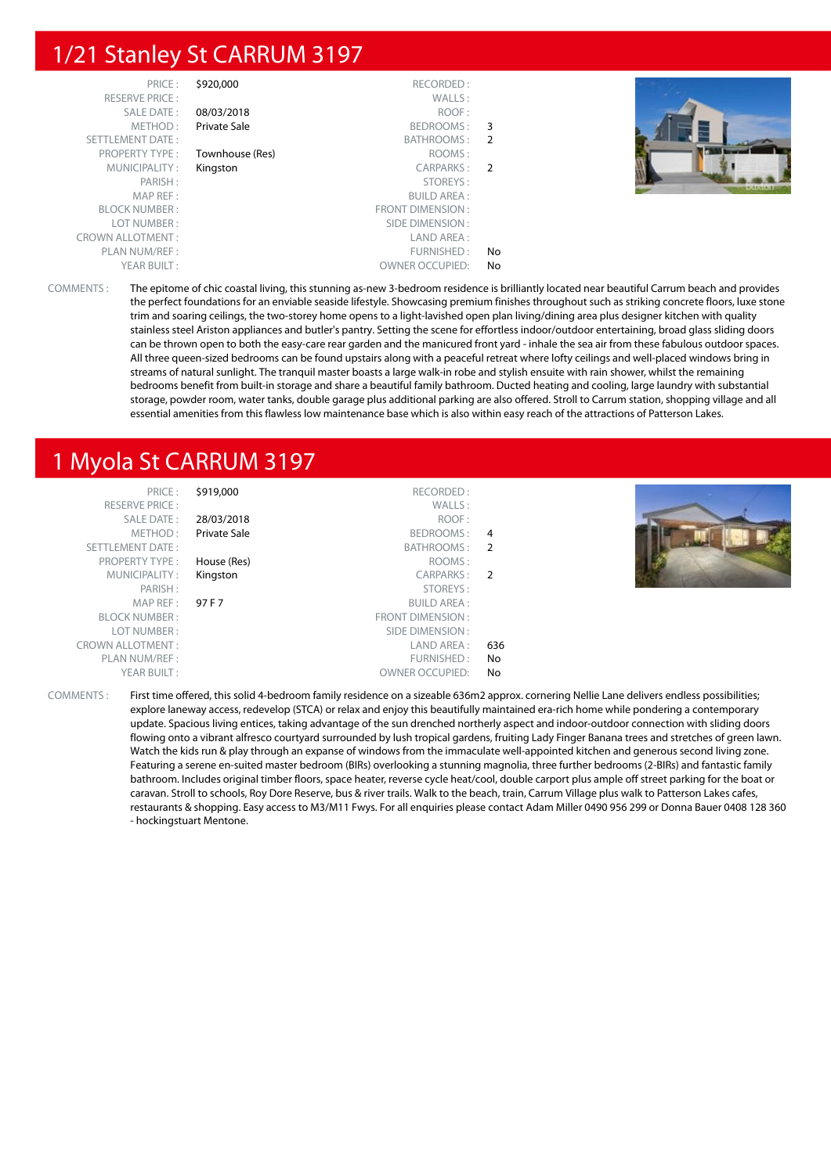#### 1/21 Stanley St CARRUM 3197

| PRICE:                  | \$920,000       | RECORDED:               |    |  |
|-------------------------|-----------------|-------------------------|----|--|
| <b>RESERVE PRICE:</b>   |                 | WALLS:                  |    |  |
| SALE DATE:              | 08/03/2018      | ROOF:                   |    |  |
| METHOD:                 | Private Sale    | BEDROOMS:               | 3  |  |
| <b>SETTLEMENT DATE:</b> |                 | BATHROOMS:              | -2 |  |
| <b>PROPERTY TYPE:</b>   | Townhouse (Res) | ROOMS:                  |    |  |
| MUNICIPALITY:           | Kingston        | CARPARKS:               | -2 |  |
| PARISH:                 |                 | STOREYS:                |    |  |
| MAP REF:                |                 | <b>BUILD AREA:</b>      |    |  |
| <b>BLOCK NUMBER:</b>    |                 | <b>FRONT DIMENSION:</b> |    |  |
| LOT NUMBER:             |                 | SIDE DIMENSION:         |    |  |
| <b>CROWN ALLOTMENT:</b> |                 | LAND AREA :             |    |  |
| PLAN NUM/REF:           |                 | FURNISHED:              | No |  |
| YEAR BUILT:             |                 | <b>OWNER OCCUPIED:</b>  | No |  |



COMMENTS : The epitome of chic coastal living, this stunning as-new 3-bedroom residence is brilliantly located near beautiful Carrum beach and provides the perfect foundations for an enviable seaside lifestyle. Showcasing premium finishes throughout such as striking concrete floors, luxe stone trim and soaring ceilings, the two-storey home opens to a light-lavished open plan living/dining area plus designer kitchen with quality stainless steel Ariston appliances and butler's pantry. Setting the scene for effortless indoor/outdoor entertaining, broad glass sliding doors can be thrown open to both the easy-care rear garden and the manicured front yard - inhale the sea air from these fabulous outdoor spaces. All three queen-sized bedrooms can be found upstairs along with a peaceful retreat where lofty ceilings and well-placed windows bring in streams of natural sunlight. The tranquil master boasts a large walk-in robe and stylish ensuite with rain shower, whilst the remaining bedrooms benefit from built-in storage and share a beautiful family bathroom. Ducted heating and cooling, large laundry with substantial storage, powder room, water tanks, double garage plus additional parking are also offered. Stroll to Carrum station, shopping village and all essential amenities from this flawless low maintenance base which is also within easy reach of the attractions of Patterson Lakes.

## 1 Myola St CARRUM 3197

| PRICE:<br><b>RESERVE PRICE:</b> | \$919,000           | RECORDED:<br>WALLS:    |                |  |
|---------------------------------|---------------------|------------------------|----------------|--|
| SALE DATE:                      | 28/03/2018          | ROOF:                  |                |  |
| METHOD:                         | <b>Private Sale</b> | BEDROOMS:              | 4              |  |
| SETTLEMENT DATE:                |                     | BATHROOMS:             | 2              |  |
| <b>PROPERTY TYPE:</b>           | House (Res)         | ROOMS:                 |                |  |
| MUNICIPALITY:                   | Kingston            | CARPARKS:              | $\overline{2}$ |  |
| PARISH:                         |                     | STOREYS:               |                |  |
| MAPREF:                         | 97 F 7              | <b>BUILD AREA:</b>     |                |  |
| <b>BLOCK NUMBER:</b>            |                     | FRONT DIMENSION:       |                |  |
| LOT NUMBER:                     |                     | SIDE DIMENSION :       |                |  |
| <b>CROWN ALLOTMENT:</b>         |                     | LAND AREA :            | 636            |  |
| PLAN NUM/REF:                   |                     | FURNISHED:             | No             |  |
| YEAR BUILT:                     |                     | <b>OWNER OCCUPIED:</b> | No             |  |

COMMENTS : First time offered, this solid 4-bedroom family residence on a sizeable 636m2 approx. cornering Nellie Lane delivers endless possibilities; explore laneway access, redevelop (STCA) or relax and enjoy this beautifully maintained era-rich home while pondering a contemporary update. Spacious living entices, taking advantage of the sun drenched northerly aspect and indoor-outdoor connection with sliding doors flowing onto a vibrant alfresco courtyard surrounded by lush tropical gardens, fruiting Lady Finger Banana trees and stretches of green lawn. Watch the kids run & play through an expanse of windows from the immaculate well-appointed kitchen and generous second living zone. Featuring a serene en-suited master bedroom (BIRs) overlooking a stunning magnolia, three further bedrooms (2-BIRs) and fantastic family bathroom. Includes original timber floors, space heater, reverse cycle heat/cool, double carport plus ample off street parking for the boat or caravan. Stroll to schools, Roy Dore Reserve, bus & river trails. Walk to the beach, train, Carrum Village plus walk to Patterson Lakes cafes, restaurants & shopping. Easy access to M3/M11 Fwys. For all enquiries please contact Adam Miller 0490 956 299 or Donna Bauer 0408 128 360 - hockingstuart Mentone.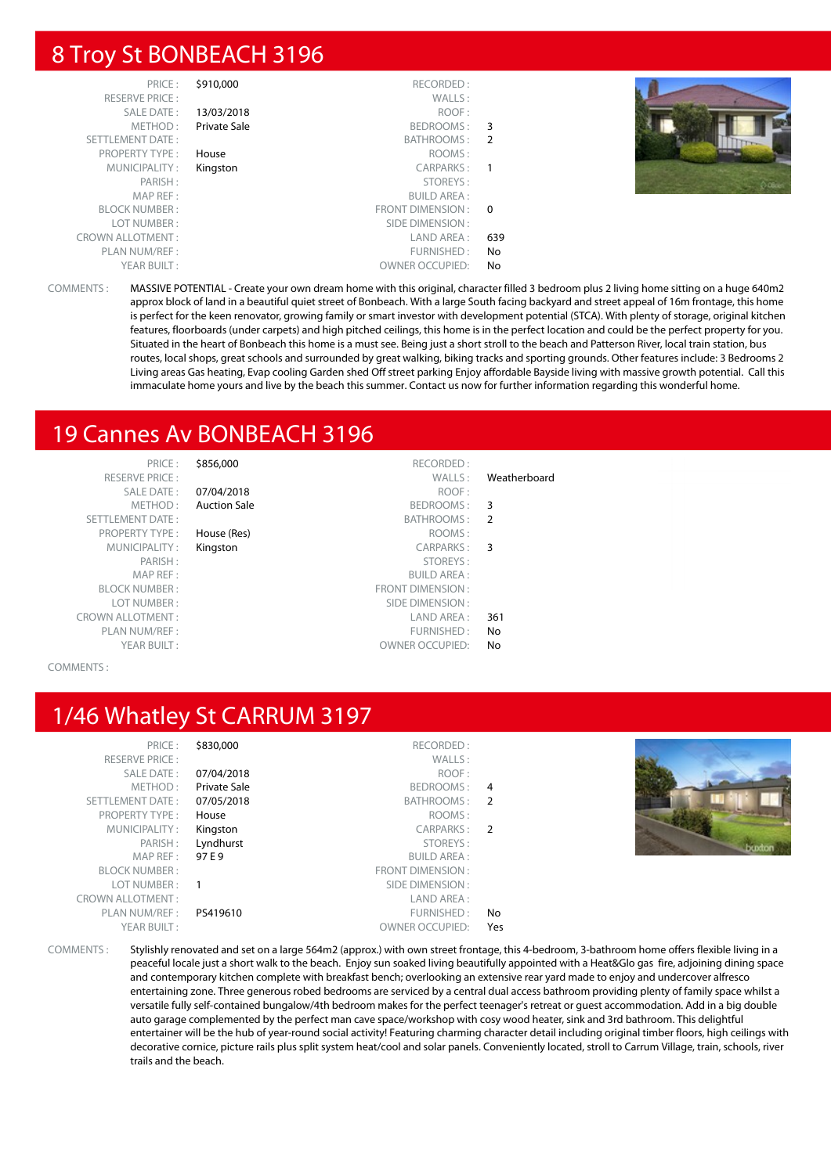#### 8 Troy St BONBEACH 3196

| PRICE:                  | \$910,000    | RECORDED:              |          |  |
|-------------------------|--------------|------------------------|----------|--|
| <b>RESERVE PRICE:</b>   |              | WALLS:                 |          |  |
| SALE DATE:              | 13/03/2018   | ROOF:                  |          |  |
| METHOD:                 | Private Sale | BEDROOMS:              | 3        |  |
| SETTLEMENT DATE:        |              | BATHROOMS:             | -2       |  |
| <b>PROPERTY TYPE:</b>   | House        | ROOMS:                 |          |  |
| MUNICIPALITY:           | Kingston     | CARPARKS:              | -1       |  |
| PARISH:                 |              | STOREYS:               |          |  |
| MAP REF:                |              | <b>BUILD AREA:</b>     |          |  |
| <b>BLOCK NUMBER:</b>    |              | FRONT DIMENSION:       | $\Omega$ |  |
| LOT NUMBER:             |              | SIDE DIMENSION :       |          |  |
| <b>CROWN ALLOTMENT:</b> |              | LAND AREA :            | 639      |  |
| PLAN NUM/REF:           |              | FURNISHED:             | No       |  |
| YEAR BUILT:             |              | <b>OWNER OCCUPIED:</b> | No       |  |



COMMENTS : MASSIVE POTENTIAL - Create your own dream home with this original, character filled 3 bedroom plus 2 living home sitting on a huge 640m2 approx block of land in a beautiful quiet street of Bonbeach. With a large South facing backyard and street appeal of 16m frontage, this home is perfect for the keen renovator, growing family or smart investor with development potential (STCA). With plenty of storage, original kitchen features, floorboards (under carpets) and high pitched ceilings, this home is in the perfect location and could be the perfect property for you. Situated in the heart of Bonbeach this home is a must see. Being just a short stroll to the beach and Patterson River, local train station, bus routes, local shops, great schools and surrounded by great walking, biking tracks and sporting grounds. Other features include: 3 Bedrooms 2 Living areas Gas heating, Evap cooling Garden shed Off street parking Enjoy affordable Bayside living with massive growth potential. Call this immaculate home yours and live by the beach this summer. Contact us now for further information regarding this wonderful home.

#### 19 Cannes Av BONBEACH 3196

PRICE : \$856,000 RECORDED : RESERVE PRICE : WALLS : Weatherboard SETTLEMENT DATE: PROPERTY TYPE : House (Res) MUNICIPALITY : Kingston MAP REF : BLOCK NUMBER: LOT NUMBER :

SALE DATE : 07/04/2018 ROOF : METHOD: Auction Sale BEDROOMS: 3

|     | BAI HROOMS:             | SETTLEMENT DATE:        |
|-----|-------------------------|-------------------------|
|     | House (Res)<br>ROOMS:   | <b>PROPERTY TYPE:</b>   |
| -3  | CARPARKS:<br>Kingston   | MUNICIPALITY:           |
|     | STOREYS:                | PARISH:                 |
|     | <b>BUILD AREA:</b>      | MAP REF:                |
|     | <b>FRONT DIMENSION:</b> | <b>BLOCK NUMBER:</b>    |
|     | SIDE DIMENSION:         | LOT NUMBER:             |
| 361 | LAND AREA :             | <b>CROWN ALLOTMENT:</b> |
| No. | FURNISHED:              | PLAN NUM/REF:           |
| No. | <b>OWNER OCCUPIED:</b>  | YEAR BUILT:             |

#### COMMENTS :

## 1/46 Whatley St CARRUM 3197

| PRICE:                  | \$830,000    | RECORDED:              |     |        |
|-------------------------|--------------|------------------------|-----|--------|
| <b>RESERVE PRICE:</b>   |              | WALLS:                 |     |        |
| SALE DATE:              | 07/04/2018   | ROOF:                  |     |        |
| METHOD:                 | Private Sale | BEDROOMS: 4            |     |        |
| SETTLEMENT DATE:        | 07/05/2018   | BATHROOMS: 2           |     |        |
| PROPERTY TYPE:          | House        | ROOMS:                 |     |        |
| MUNICIPALITY:           | Kingston     | CARPARKS: 2            |     |        |
| PARISH:                 | Lyndhurst    | STOREYS:               |     | buxton |
| MAPREF:                 | 97 E 9       | BUILD AREA :           |     |        |
| <b>BLOCK NUMBER:</b>    |              | FRONT DIMENSION :      |     |        |
| LOT NUMBER :            |              | SIDE DIMENSION :       |     |        |
| <b>CROWN ALLOTMENT:</b> |              | LAND AREA:             |     |        |
| PLAN NUM/REF :          | PS419610     | FURNISHED:             | No. |        |
| YEAR BUILT:             |              | <b>OWNER OCCUPIED:</b> | Yes |        |
|                         |              |                        |     |        |

COMMENTS : Stylishly renovated and set on a large 564m2 (approx.) with own street frontage, this 4-bedroom, 3-bathroom home offers flexible living in a peaceful locale just a short walk to the beach. Enjoy sun soaked living beautifully appointed with a Heat&Glo gas fire, adjoining dining space and contemporary kitchen complete with breakfast bench; overlooking an extensive rear yard made to enjoy and undercover alfresco entertaining zone. Three generous robed bedrooms are serviced by a central dual access bathroom providing plenty of family space whilst a versatile fully self-contained bungalow/4th bedroom makes for the perfect teenager's retreat or guest accommodation. Add in a big double auto garage complemented by the perfect man cave space/workshop with cosy wood heater, sink and 3rd bathroom. This delightful entertainer will be the hub of year-round social activity! Featuring charming character detail including original timber floors, high ceilings with decorative cornice, picture rails plus split system heat/cool and solar panels. Conveniently located, stroll to Carrum Village, train, schools, river trails and the beach.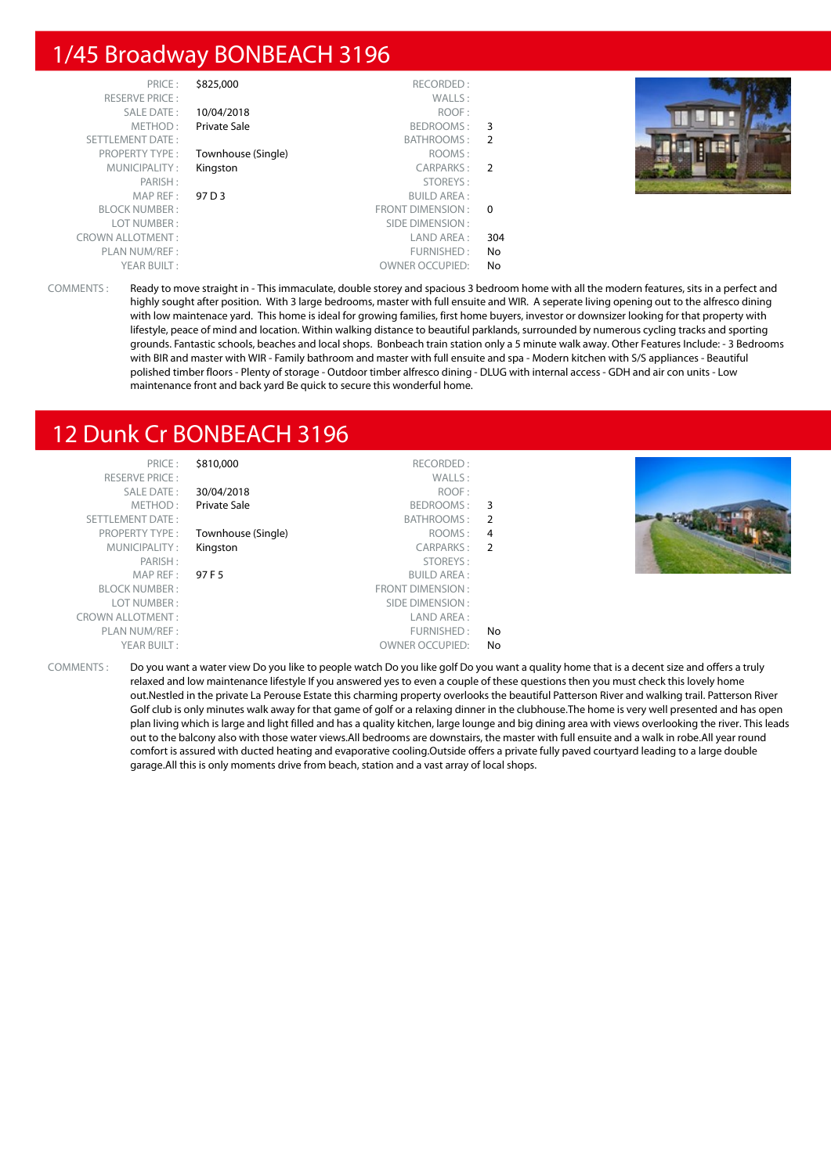#### 1/45 Broadway BONBEACH 3196

| PRICE:                  | \$825,000          | RECORDED:              |                         |  |
|-------------------------|--------------------|------------------------|-------------------------|--|
| <b>RESERVE PRICE:</b>   |                    | WALLS:                 |                         |  |
| SALE DATE:              | 10/04/2018         | ROOF:                  |                         |  |
| METHOD:                 | Private Sale       | BEDROOMS:              | - 3                     |  |
| <b>SETTLEMENT DATE:</b> |                    | BATHROOMS:             | 2                       |  |
| <b>PROPERTY TYPE:</b>   | Townhouse (Single) | ROOMS:                 |                         |  |
| MUNICIPALITY:           | Kingston           | CARPARKS:              | $\overline{2}$          |  |
| PARISH:                 |                    | STOREYS:               |                         |  |
| MAP REF:                | 97 D 3             | <b>BUILD AREA:</b>     |                         |  |
| <b>BLOCK NUMBER:</b>    |                    | FRONT DIMENSION :      | $\overline{\mathbf{0}}$ |  |
| LOT NUMBER:             |                    | SIDE DIMENSION :       |                         |  |
| <b>CROWN ALLOTMENT:</b> |                    | LAND AREA :            | 304                     |  |
| PLAN NUM/REF:           |                    | FURNISHED:             | No                      |  |
| YEAR BUILT:             |                    | <b>OWNER OCCUPIED:</b> | No                      |  |

COMMENTS : Ready to move straight in - This immaculate, double storey and spacious 3 bedroom home with all the modern features, sits in a perfect and highly sought after position. With 3 large bedrooms, master with full ensuite and WIR. A seperate living opening out to the alfresco dining with low maintenace yard. This home is ideal for growing families, first home buyers, investor or downsizer looking for that property with lifestyle, peace of mind and location. Within walking distance to beautiful parklands, surrounded by numerous cycling tracks and sporting grounds. Fantastic schools, beaches and local shops. Bonbeach train station only a 5 minute walk away. Other Features Include: - 3 Bedrooms with BIR and master with WIR - Family bathroom and master with full ensuite and spa - Modern kitchen with S/S appliances - Beautiful polished timber floors - Plenty of storage - Outdoor timber alfresco dining - DLUG with internal access - GDH and air con units - Low maintenance front and back yard Be quick to secure this wonderful home.

#### 12 Dunk Cr BONBEACH 3196

| PRICE:                                  | \$810,000          | RECORDED:              |    |                                                                                                                                                                                                                                |
|-----------------------------------------|--------------------|------------------------|----|--------------------------------------------------------------------------------------------------------------------------------------------------------------------------------------------------------------------------------|
| <b>RESERVE PRICE:</b>                   |                    | WALLS:                 |    |                                                                                                                                                                                                                                |
| SALE DATE:                              | 30/04/2018         | ROOF:                  |    |                                                                                                                                                                                                                                |
| METHOD:                                 | Private Sale       | BEDROOMS: 3            |    |                                                                                                                                                                                                                                |
| SETTLEMENT DATE:                        |                    | BATHROOMS: 2           |    |                                                                                                                                                                                                                                |
| <b>PROPERTY TYPE:</b>                   | Townhouse (Single) | ROOMS: 4               |    |                                                                                                                                                                                                                                |
| MUNICIPALITY:                           | Kingston           | CARPARKS: 2            |    |                                                                                                                                                                                                                                |
| PARISH:                                 |                    | STOREYS:               |    |                                                                                                                                                                                                                                |
| MAPREF:                                 | 97 F 5             | <b>BUILD AREA:</b>     |    |                                                                                                                                                                                                                                |
| <b>BLOCK NUMBER:</b>                    |                    | FRONT DIMENSION :      |    |                                                                                                                                                                                                                                |
| LOT NUMBER:                             |                    | SIDE DIMENSION :       |    |                                                                                                                                                                                                                                |
| <b>CROWN ALLOTMENT:</b>                 |                    | LAND AREA :            |    |                                                                                                                                                                                                                                |
| PLAN NUM/REF :                          |                    | FURNISHED:             | No |                                                                                                                                                                                                                                |
| YEAR BUILT:                             |                    | <b>OWNER OCCUPIED:</b> | No |                                                                                                                                                                                                                                |
| $C$ $O$ $A$ $A$ $B$ $A$ $F$ $A$ $T$ $C$ |                    |                        |    | n is a series that the the series that the series of the series of the series of the series of the series of the series of the series of the series of the series of the series of the series of the series of the series of t |

COMMENTS : Do you want a water view Do you like to people watch Do you like golf Do you want a quality home that is a decent size and offers a truly relaxed and low maintenance lifestyle If you answered yes to even a couple of these questions then you must check this lovely home out.Nestled in the private La Perouse Estate this charming property overlooks the beautiful Patterson River and walking trail. Patterson River Golf club is only minutes walk away for that game of golf or a relaxing dinner in the clubhouse.The home is very well presented and has open plan living which is large and light filled and has a quality kitchen, large lounge and big dining area with views overlooking the river. This leads out to the balcony also with those water views.All bedrooms are downstairs, the master with full ensuite and a walk in robe.All year round comfort is assured with ducted heating and evaporative cooling.Outside offers a private fully paved courtyard leading to a large double garage.All this is only moments drive from beach, station and a vast array of local shops.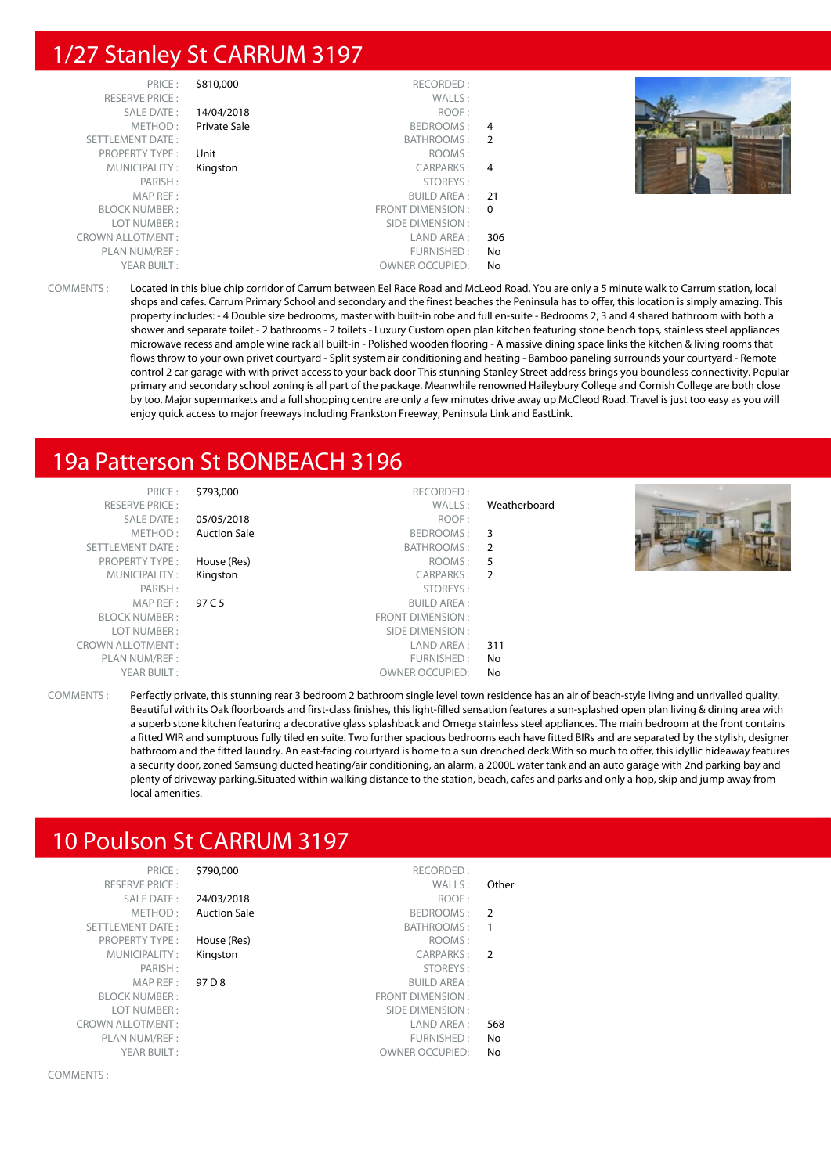#### 1/27 Stanley St CARRUM 3197

| PRICE:                  | \$810,000    | RECORDED:              |          |  |
|-------------------------|--------------|------------------------|----------|--|
| <b>RESERVE PRICE:</b>   |              | WALLS:                 |          |  |
| SALE DATE:              | 14/04/2018   | ROOF:                  |          |  |
| METHOD:                 | Private Sale | BEDROOMS: 4            |          |  |
| SETTLEMENT DATE:        |              | BATHROOMS: 2           |          |  |
| PROPERTY TYPE:          | Unit         | ROOMS:                 |          |  |
| MUNICIPALITY:           | Kingston     | CARPARKS: 4            |          |  |
| PARISH:                 |              | STOREYS:               |          |  |
| MAP REF:                |              | BUILD AREA :           | -21      |  |
| <b>BLOCK NUMBER:</b>    |              | FRONT DIMENSION :      | $\Omega$ |  |
| LOT NUMBER:             |              | SIDE DIMENSION :       |          |  |
| <b>CROWN ALLOTMENT:</b> |              | LAND AREA :            | 306      |  |
| PLAN NUM/REF:           |              | FURNISHED:             | No       |  |
| YEAR BUILT:             |              | <b>OWNER OCCUPIED:</b> | No       |  |

COMMENTS : Located in this blue chip corridor of Carrum between Eel Race Road and McLeod Road. You are only a 5 minute walk to Carrum station, local shops and cafes. Carrum Primary School and secondary and the finest beaches the Peninsula has to offer, this location is simply amazing. This property includes: - 4 Double size bedrooms, master with built-in robe and full en-suite - Bedrooms 2, 3 and 4 shared bathroom with both a shower and separate toilet - 2 bathrooms - 2 toilets - Luxury Custom open plan kitchen featuring stone bench tops, stainless steel appliances microwave recess and ample wine rack all built-in - Polished wooden flooring - A massive dining space links the kitchen & living rooms that flows throw to your own privet courtyard - Split system air conditioning and heating - Bamboo paneling surrounds your courtyard - Remote control 2 car garage with with privet access to your back door This stunning Stanley Street address brings you boundless connectivity. Popular primary and secondary school zoning is all part of the package. Meanwhile renowned Haileybury College and Cornish College are both close by too. Major supermarkets and a full shopping centre are only a few minutes drive away up McCleod Road. Travel is just too easy as you will enjoy quick access to major freeways including Frankston Freeway, Peninsula Link and EastLink.

#### 19a Patterson St BONBEACH 3196

| PRICE:                  | \$793,000           | RECORDED:              |              |  |
|-------------------------|---------------------|------------------------|--------------|--|
| <b>RESERVE PRICE:</b>   |                     | WALLS:                 | Weatherboard |  |
| SALE DATE:              | 05/05/2018          | ROOF:                  |              |  |
| METHOD:                 | <b>Auction Sale</b> | BEDROOMS:              | 3            |  |
| SETTLEMENT DATE:        |                     | <b>BATHROOMS:</b>      | - 2          |  |
| <b>PROPERTY TYPE:</b>   | House (Res)         | ROOMS:                 | -5           |  |
| MUNICIPALITY:           | Kingston            | CARPARKS:              | - 2          |  |
| PARISH:                 |                     | STOREYS:               |              |  |
| MAP REF :               | 97 C 5              | <b>BUILD AREA:</b>     |              |  |
| <b>BLOCK NUMBER:</b>    |                     | FRONT DIMENSION:       |              |  |
| LOT NUMBER:             |                     | SIDE DIMENSION :       |              |  |
| <b>CROWN ALLOTMENT:</b> |                     | LAND AREA :            | 311          |  |
| PLAN NUM/REF :          |                     | FURNISHED:             | No           |  |
| YEAR BUILT:             |                     | <b>OWNER OCCUPIED:</b> | No           |  |

COMMENTS : Perfectly private, this stunning rear 3 bedroom 2 bathroom single level town residence has an air of beach-style living and unrivalled quality. Beautiful with its Oak floorboards and first-class finishes, this light-filled sensation features a sun-splashed open plan living & dining area with a superb stone kitchen featuring a decorative glass splashback and Omega stainless steel appliances. The main bedroom at the front contains a fitted WIR and sumptuous fully tiled en suite. Two further spacious bedrooms each have fitted BIRs and are separated by the stylish, designer bathroom and the fitted laundry. An east-facing courtyard is home to a sun drenched deck.With so much to offer, this idyllic hideaway features a security door, zoned Samsung ducted heating/air conditioning, an alarm, a 2000L water tank and an auto garage with 2nd parking bay and plenty of driveway parking.Situated within walking distance to the station, beach, cafes and parks and only a hop, skip and jump away from local amenities.

#### 10 Poulson St CARRUM 3197

|               | \$790,000<br>RECORDED:           | PRICE:                  |
|---------------|----------------------------------|-------------------------|
| Other         | WALLS:                           | <b>RESERVE PRICE:</b>   |
|               | ROOF:<br>24/03/2018              | <b>SALE DATE:</b>       |
| $\mathcal{L}$ | <b>Auction Sale</b><br>BEDROOMS: | METHOD:                 |
| 1             | BATHROOMS:                       | <b>SETTLEMENT DATE:</b> |
|               | ROOMS:<br>House (Res)            | <b>PROPERTY TYPE:</b>   |
| $\mathcal{P}$ | Kingston<br>CARPARKS:            | MUNICIPALITY:           |
|               | STOREYS:                         | PARISH:                 |
|               | 97 D 8<br><b>BUILD AREA:</b>     | MAP REF:                |
|               | <b>FRONT DIMENSION:</b>          | <b>BLOCK NUMBER:</b>    |
|               | SIDE DIMENSION:                  | LOT NUMBER:             |
| 568           | LAND AREA :                      | <b>CROWN ALLOTMENT:</b> |
| No            | FURNISHED:                       | PLAN NUM/REF:           |
| No            | <b>OWNER OCCUPIED:</b>           | YEAR BUILT:             |
|               |                                  |                         |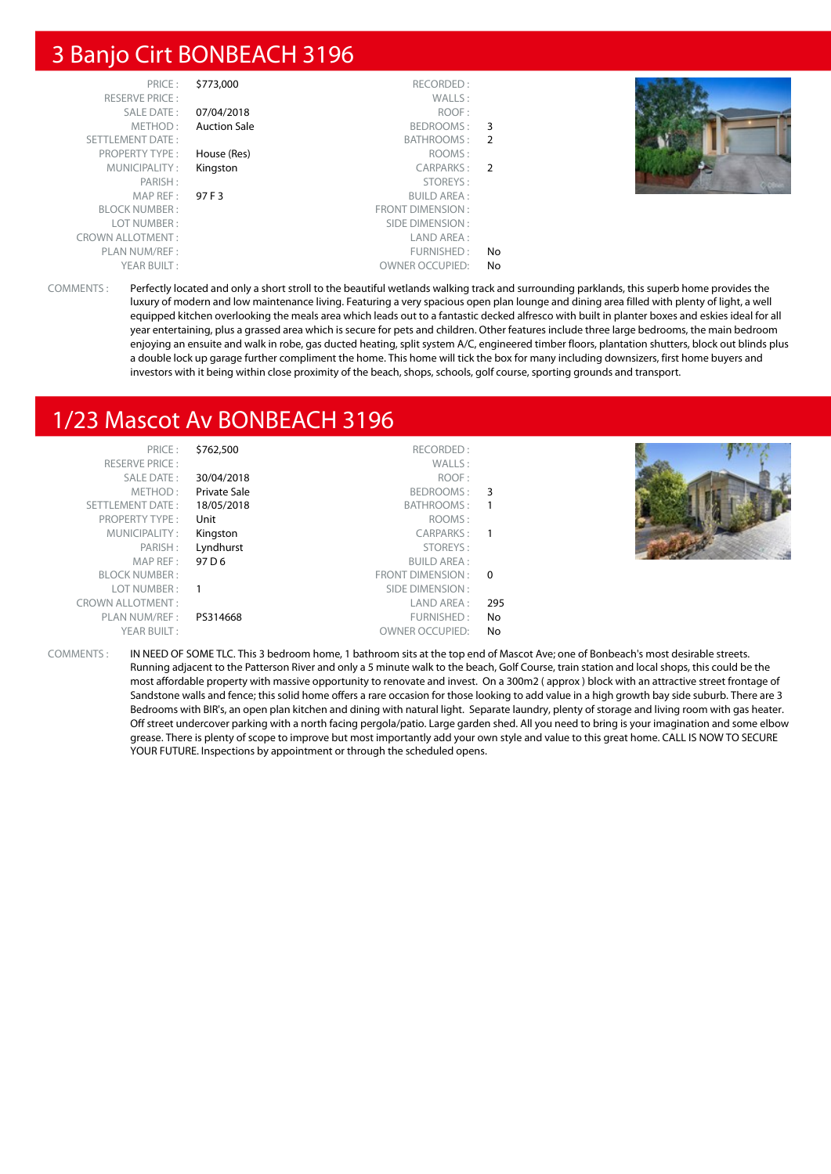#### 3 Banjo Cirt BONBEACH 3196

| PRICE:                  | \$773,000           | RECORDED:              |     |  |
|-------------------------|---------------------|------------------------|-----|--|
| <b>RESERVE PRICE:</b>   |                     | WALLS:                 |     |  |
| SALE DATE:              | 07/04/2018          | ROOF:                  |     |  |
| METHOD:                 | <b>Auction Sale</b> | BEDROOMS:              | - 3 |  |
| <b>SETTLEMENT DATE:</b> |                     | BATHROOMS:             | -2  |  |
| <b>PROPERTY TYPE:</b>   | House (Res)         | ROOMS:                 |     |  |
| MUNICIPALITY:           | Kingston            | CARPARKS: 2            |     |  |
| PARISH:                 |                     | STOREYS:               |     |  |
| MAP REF :               | 97 F 3              | <b>BUILD AREA:</b>     |     |  |
| <b>BLOCK NUMBER:</b>    |                     | FRONT DIMENSION:       |     |  |
| LOT NUMBER:             |                     | SIDE DIMENSION :       |     |  |
| <b>CROWN ALLOTMENT:</b> |                     | LAND AREA:             |     |  |
| PLAN NUM/REF:           |                     | FURNISHED:             | No  |  |
| YEAR BUILT:             |                     | <b>OWNER OCCUPIED:</b> | No  |  |

COMMENTS : Perfectly located and only a short stroll to the beautiful wetlands walking track and surrounding parklands, this superb home provides the luxury of modern and low maintenance living. Featuring a very spacious open plan lounge and dining area filled with plenty of light, a well equipped kitchen overlooking the meals area which leads out to a fantastic decked alfresco with built in planter boxes and eskies ideal for all year entertaining, plus a grassed area which is secure for pets and children. Other features include three large bedrooms, the main bedroom enjoying an ensuite and walk in robe, gas ducted heating, split system A/C, engineered timber floors, plantation shutters, block out blinds plus a double lock up garage further compliment the home. This home will tick the box for many including downsizers, first home buyers and investors with it being within close proximity of the beach, shops, schools, golf course, sporting grounds and transport.

## 1/23 Mascot Av BONBEACH 3196

| PRICE:                  | \$762,500           | RECORDED:              |     |  |
|-------------------------|---------------------|------------------------|-----|--|
| <b>RESERVE PRICE:</b>   |                     | WALLS:                 |     |  |
| SALE DATE:              | 30/04/2018          | ROOF:                  |     |  |
| METHOD:                 | <b>Private Sale</b> | BEDROOMS: 3            |     |  |
| SETTLEMENT DATE:        | 18/05/2018          | BATHROOMS: 1           |     |  |
| PROPERTY TYPE:          | Unit                | ROOMS:                 |     |  |
| MUNICIPALITY:           | Kingston            | CARPARKS: 1            |     |  |
| PARISH:                 | Lyndhurst           | STOREYS:               |     |  |
| MAP REF :               | 97 D 6              | <b>BUILD AREA:</b>     |     |  |
| <b>BLOCK NUMBER:</b>    |                     | FRONT DIMENSION : 0    |     |  |
| LOT NUMBER :            | $\overline{1}$      | SIDE DIMENSION :       |     |  |
| <b>CROWN ALLOTMENT:</b> |                     | LAND AREA :            | 295 |  |
| PLAN NUM/REF :          | PS314668            | FURNISHED:             | No. |  |
| YEAR BUILT:             |                     | <b>OWNER OCCUPIED:</b> | No. |  |

COMMENTS : IN NEED OF SOME TLC. This 3 bedroom home, 1 bathroom sits at the top end of Mascot Ave; one of Bonbeach's most desirable streets. Running adjacent to the Patterson River and only a 5 minute walk to the beach, Golf Course, train station and local shops, this could be the most affordable property with massive opportunity to renovate and invest. On a 300m2 ( approx ) block with an attractive street frontage of Sandstone walls and fence; this solid home offers a rare occasion for those looking to add value in a high growth bay side suburb. There are 3 Bedrooms with BIR's, an open plan kitchen and dining with natural light. Separate laundry, plenty of storage and living room with gas heater. Off street undercover parking with a north facing pergola/patio. Large garden shed. All you need to bring is your imagination and some elbow grease. There is plenty of scope to improve but most importantly add your own style and value to this great home. CALL IS NOW TO SECURE YOUR FUTURE. Inspections by appointment or through the scheduled opens.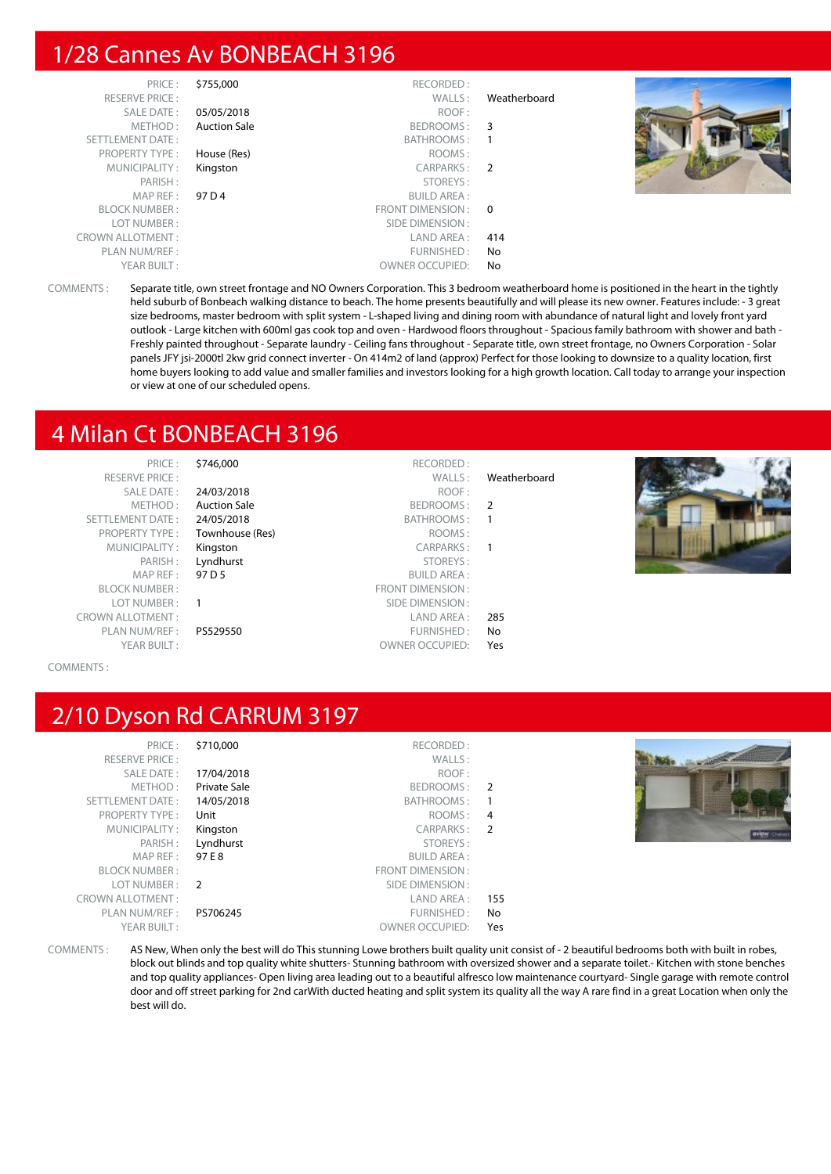#### 1/28 Cannes Av BONBEACH 3196

|              | RECORDED:              | \$755,000           | PRICE:                  |
|--------------|------------------------|---------------------|-------------------------|
| Weatherboard | WALLS:                 |                     | <b>RESERVE PRICE:</b>   |
|              | ROOF:                  | 05/05/2018          | SALE DATE:              |
|              | BEDROOMS: 3            | <b>Auction Sale</b> | METHOD:                 |
|              | BATHROOMS:             |                     | SETTLEMENT DATE:        |
|              | ROOMS:                 | House (Res)         | <b>PROPERTY TYPE:</b>   |
|              | CARPARKS: 2            | Kingston            | MUNICIPALITY:           |
|              | STOREYS:               |                     | PARISH:                 |
|              | <b>BUILD AREA:</b>     | 97 D 4              | MAPREF:                 |
|              | FRONT DIMENSION: 0     |                     | <b>BLOCK NUMBER:</b>    |
|              | SIDE DIMENSION :       |                     | LOT NUMBER:             |
| 414          | LAND AREA :            |                     | <b>CROWN ALLOTMENT:</b> |
| No.          | FURNISHED:             |                     | PLAN NUM/REF :          |
| No           | <b>OWNER OCCUPIED:</b> |                     | YEAR BUILT:             |

COMMENTS : Separate title, own street frontage and NO Owners Corporation. This 3 bedroom weatherboard home is positioned in the heart in the tightly held suburb of Bonbeach walking distance to beach. The home presents beautifully and will please its new owner. Features include: - 3 great size bedrooms, master bedroom with split system - L-shaped living and dining room with abundance of natural light and lovely front yard outlook - Large kitchen with 600ml gas cook top and oven - Hardwood floors throughout - Spacious family bathroom with shower and bath - Freshly painted throughout - Separate laundry - Ceiling fans throughout - Separate title, own street frontage, no Owners Corporation - Solar panels JFY jsi-2000tl 2kw grid connect inverter - On 414m2 of land (approx) Perfect for those looking to downsize to a quality location, first home buyers looking to add value and smaller families and investors looking for a high growth location. Call today to arrange your inspection or view at one of our scheduled opens.

#### 4 Milan Ct BONBEACH 3196

| PRICE:<br><b>RESERVE PRICE:</b><br>SALE DATE:<br>METHOD:<br>SETTLEMENT DATE:<br><b>PROPERTY TYPE:</b><br>MUNICIPALITY:<br>PARISH:<br>MAP REF :<br><b>BLOCK NUMBER:</b><br>LOT NUMBER:<br><b>CROWN ALLOTMENT:</b><br>PLAN NUM/REF:<br>YEAR BUILT: | \$746,000<br>24/03/2018<br><b>Auction Sale</b><br>24/05/2018<br>Townhouse (Res)<br>Kingston<br>Lyndhurst<br>97 D 5<br>PS529550 | RECORDED:<br>WALLS:<br>ROOF:<br>BEDROOMS: 2<br>BATHROOMS:<br>ROOMS:<br>CARPARKS:<br>STOREYS:<br><b>BUILD AREA:</b><br>FRONT DIMENSION:<br>SIDE DIMENSION :<br>LAND AREA :<br>FURNISHED:<br><b>OWNER OCCUPIED:</b> | Weatherboard<br>$\overline{\phantom{0}}$<br>$\blacksquare$<br>285<br>No<br>Yes |  |
|--------------------------------------------------------------------------------------------------------------------------------------------------------------------------------------------------------------------------------------------------|--------------------------------------------------------------------------------------------------------------------------------|-------------------------------------------------------------------------------------------------------------------------------------------------------------------------------------------------------------------|--------------------------------------------------------------------------------|--|
|--------------------------------------------------------------------------------------------------------------------------------------------------------------------------------------------------------------------------------------------------|--------------------------------------------------------------------------------------------------------------------------------|-------------------------------------------------------------------------------------------------------------------------------------------------------------------------------------------------------------------|--------------------------------------------------------------------------------|--|

COMMENTS :

## 2/10 Dyson Rd CARRUM 3197

| PRICE:                  | \$710,000     | RECORDED:               |                |  |
|-------------------------|---------------|-------------------------|----------------|--|
| <b>RESERVE PRICE:</b>   |               | WALLS:                  |                |  |
| SALE DATE:              | 17/04/2018    | ROOF:                   |                |  |
| METHOD:                 | Private Sale  | BEDROOMS:               | 2              |  |
| <b>SETTLEMENT DATE:</b> | 14/05/2018    | BATHROOMS:              |                |  |
| <b>PROPERTY TYPE:</b>   | Unit          | ROOMS:                  | $\overline{4}$ |  |
| MUNICIPALITY:           | Kingston      | CARPARKS:               | $\overline{2}$ |  |
| PARISH:                 | Lyndhurst     | STOREYS:                |                |  |
| MAP REF:                | 97 E 8        | <b>BUILD AREA:</b>      |                |  |
| <b>BLOCK NUMBER:</b>    |               | <b>FRONT DIMENSION:</b> |                |  |
| LOT NUMBER:             | $\mathcal{L}$ | SIDE DIMENSION:         |                |  |
| <b>CROWN ALLOTMENT:</b> |               | LAND AREA:              | 155            |  |
| PLAN NUM/REF :          | PS706245      | FURNISHED:              | No             |  |
| YEAR BUILT:             |               | <b>OWNER OCCUPIED:</b>  | Yes            |  |
|                         |               |                         |                |  |



COMMENTS : AS New, When only the best will do This stunning Lowe brothers built quality unit consist of - 2 beautiful bedrooms both with built in robes, block out blinds and top quality white shutters- Stunning bathroom with oversized shower and a separate toilet.- Kitchen with stone benches and top quality appliances- Open living area leading out to a beautiful alfresco low maintenance courtyard- Single garage with remote control door and off street parking for 2nd carWith ducted heating and split system its quality all the way A rare find in a great Location when only the best will do.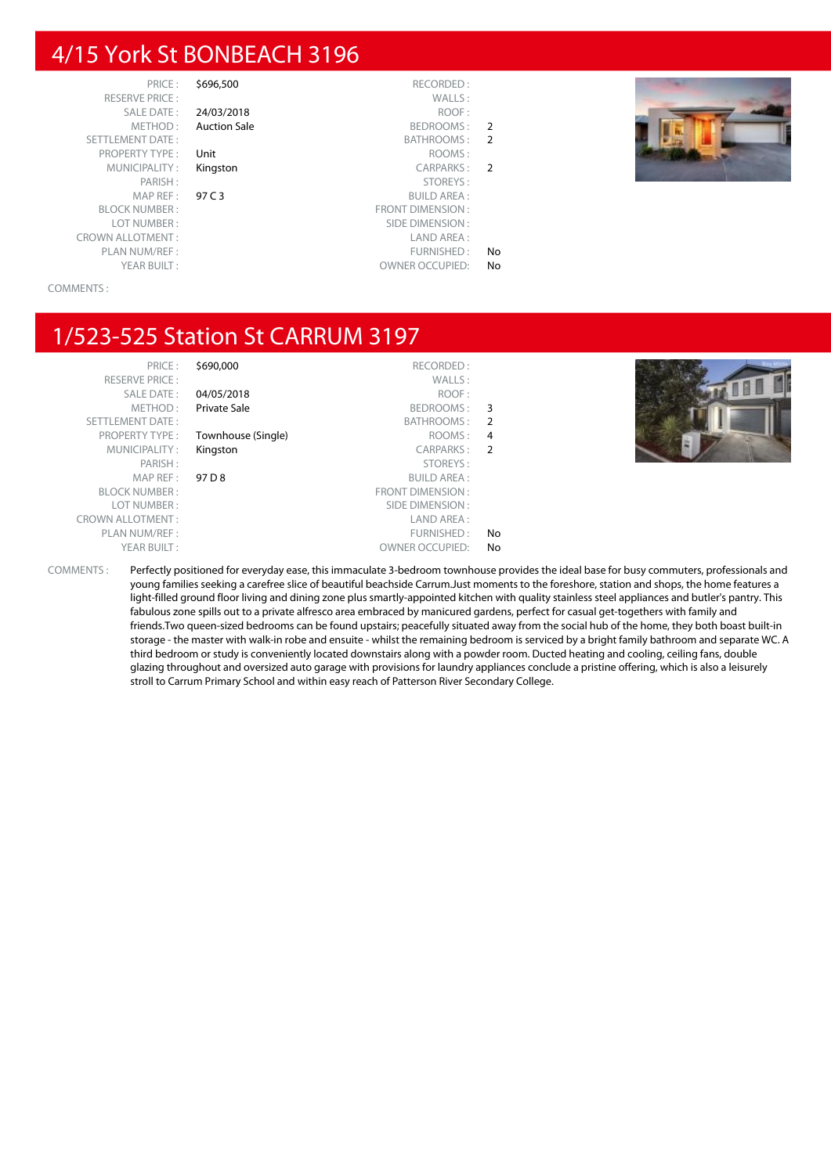#### 4/15 York St BONBEACH 3196

PRICE : \$696,500 RECORDED :<br>PRICE : WALLS : RESERVE PRICE : CROWN ALLOTMENT : LAND AREA : PLAN NUM/REF : FURNISHED : No PLAN NUM/REF : FURNISHED : No PLAN NUM/REF : COMMER OCCUPIED : No PLAN NUMER OCCUPIED : No PLAN NUMER OCCUPIED : No PLAN NUMER OCCUPIED : No PLAN NUMER OCCUPIED : No PLAN NUMER OCCUPIED : No P

SALE DATE : 24/03/2018 ROOF : METHOD: Auction Sale BEDROOMS: 2 SETTLEMENT DATE : BATHROOMS : 2 PROPERTY TYPE : Unit ROOMS : MUNICIPALITY : **Kingston** CARPARKS : 2 PARISH : STOREYS : MAP REF : **97 C 3** BUILD AREA :<br>BLOCK NUMBER · **ERONT DIMENSION** : ERONT DIMENSION :<br>Example of the contract of the contract of the contract of the contract of the contract of the contract of the<br>SIDE DIMENSION : SIDE DIMENSION : OWNER OCCUPIED: No

#### COMMENTS :

#### 1/523-525 Station St CARRUM 3197

|                | RECORDED:               | \$690,000          | PRICE:                  |
|----------------|-------------------------|--------------------|-------------------------|
|                | WALLS:                  |                    | <b>RESERVE PRICE:</b>   |
|                | ROOF:                   | 04/05/2018         | SALE DATE:              |
| 3              | BEDROOMS:               | Private Sale       | METHOD:                 |
| 2              | BATHROOMS:              |                    | <b>SETTLEMENT DATE:</b> |
| 4              | ROOMS:                  | Townhouse (Single) | <b>PROPERTY TYPE:</b>   |
| $\overline{2}$ | <b>CARPARKS:</b>        | Kingston           | MUNICIPALITY:           |
|                | STOREYS:                |                    | PARISH:                 |
|                | <b>BUILD AREA:</b>      | 97 D 8             | MAP REF:                |
|                | <b>FRONT DIMENSION:</b> |                    | <b>BLOCK NUMBER:</b>    |
|                | SIDE DIMENSION:         |                    | LOT NUMBER:             |
|                | LAND AREA:              |                    | <b>CROWN ALLOTMENT:</b> |
| No             | FURNISHED:              |                    | PLAN NUM/REF:           |
| No             | <b>OWNER OCCUPIED:</b>  |                    | YEAR BUILT:             |



COMMENTS : Perfectly positioned for everyday ease, this immaculate 3-bedroom townhouse provides the ideal base for busy commuters, professionals and young families seeking a carefree slice of beautiful beachside Carrum.Just moments to the foreshore, station and shops, the home features a light-filled ground floor living and dining zone plus smartly-appointed kitchen with quality stainless steel appliances and butler's pantry. This fabulous zone spills out to a private alfresco area embraced by manicured gardens, perfect for casual get-togethers with family and friends.Two queen-sized bedrooms can be found upstairs; peacefully situated away from the social hub of the home, they both boast built-in storage - the master with walk-in robe and ensuite - whilst the remaining bedroom is serviced by a bright family bathroom and separate WC. A third bedroom or study is conveniently located downstairs along with a powder room. Ducted heating and cooling, ceiling fans, double glazing throughout and oversized auto garage with provisions for laundry appliances conclude a pristine offering, which is also a leisurely stroll to Carrum Primary School and within easy reach of Patterson River Secondary College.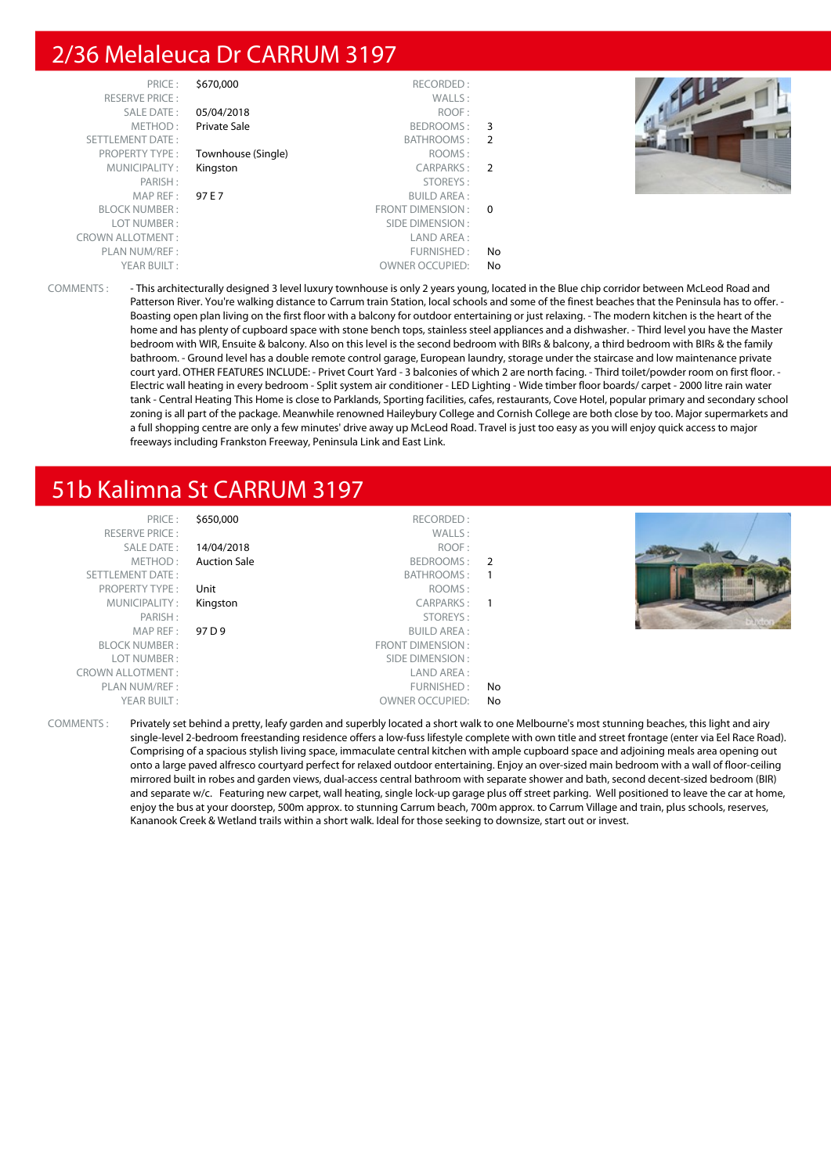#### 2/36 Melaleuca Dr CARRUM 3197



COMMENTS : - This architecturally designed 3 level luxury townhouse is only 2 years young, located in the Blue chip corridor between McLeod Road and Patterson River. You're walking distance to Carrum train Station, local schools and some of the finest beaches that the Peninsula has to offer. -Boasting open plan living on the first floor with a balcony for outdoor entertaining or just relaxing. - The modern kitchen is the heart of the home and has plenty of cupboard space with stone bench tops, stainless steel appliances and a dishwasher. - Third level you have the Master bedroom with WIR, Ensuite & balcony. Also on this level is the second bedroom with BIRs & balcony, a third bedroom with BIRs & the family bathroom. - Ground level has a double remote control garage, European laundry, storage under the staircase and low maintenance private court yard. OTHER FEATURES INCLUDE: - Privet Court Yard - 3 balconies of which 2 are north facing. - Third toilet/powder room on first floor. - Electric wall heating in every bedroom - Split system air conditioner - LED Lighting - Wide timber floor boards/ carpet - 2000 litre rain water tank - Central Heating This Home is close to Parklands, Sporting facilities, cafes, restaurants, Cove Hotel, popular primary and secondary school zoning is all part of the package. Meanwhile renowned Haileybury College and Cornish College are both close by too. Major supermarkets and a full shopping centre are only a few minutes' drive away up McLeod Road. Travel is just too easy as you will enjoy quick access to major freeways including Frankston Freeway, Peninsula Link and East Link.

## 51b Kalimna St CARRUM 3197

| PRICE:<br><b>RESERVE PRICE:</b> | \$650,000           | RECORDED:<br>WALLS:    |    |  |
|---------------------------------|---------------------|------------------------|----|--|
| SALE DATE:                      | 14/04/2018          | ROOF:                  |    |  |
| METHOD:                         | <b>Auction Sale</b> | BEDROOMS: 2            |    |  |
| <b>SETTLEMENT DATE:</b>         |                     | BATHROOMS:             |    |  |
| <b>PROPERTY TYPE:</b>           | Unit                | ROOMS:                 |    |  |
| MUNICIPALITY:                   | Kingston            | CARPARKS: 1            |    |  |
| PARISH:                         |                     | STOREYS:               |    |  |
| MAP REF:                        | 97 D 9              | <b>BUILD AREA:</b>     |    |  |
| <b>BLOCK NUMBER:</b>            |                     | FRONT DIMENSION:       |    |  |
| LOT NUMBER:                     |                     | SIDE DIMENSION :       |    |  |
| <b>CROWN ALLOTMENT:</b>         |                     | LAND AREA :            |    |  |
| PLAN NUM/REF:                   |                     | FURNISHED:             | No |  |
| YEAR BUILT:                     |                     | <b>OWNER OCCUPIED:</b> | No |  |

COMMENTS : Privately set behind a pretty, leafy garden and superbly located a short walk to one Melbourne's most stunning beaches, this light and airy single-level 2-bedroom freestanding residence offers a low-fuss lifestyle complete with own title and street frontage (enter via Eel Race Road). Comprising of a spacious stylish living space, immaculate central kitchen with ample cupboard space and adjoining meals area opening out onto a large paved alfresco courtyard perfect for relaxed outdoor entertaining. Enjoy an over-sized main bedroom with a wall of floor-ceiling mirrored built in robes and garden views, dual-access central bathroom with separate shower and bath, second decent-sized bedroom (BIR) and separate w/c. Featuring new carpet, wall heating, single lock-up garage plus off street parking. Well positioned to leave the car at home, enjoy the bus at your doorstep, 500m approx. to stunning Carrum beach, 700m approx. to Carrum Village and train, plus schools, reserves, Kananook Creek & Wetland trails within a short walk. Ideal for those seeking to downsize, start out or invest.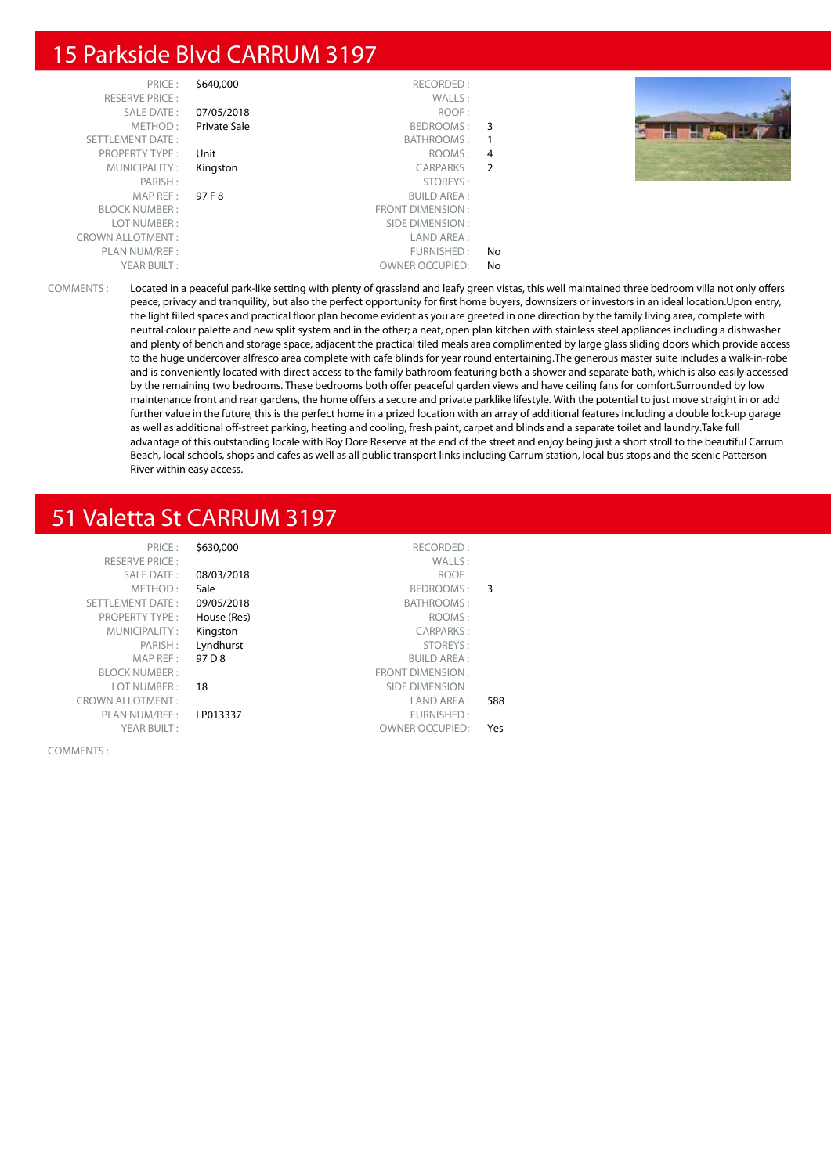#### 15 Parkside Blvd CARRUM 3197

| PRICE:<br><b>RESERVE PRICE:</b> | \$640,000    | RECORDED:<br>WALLS:    |    |  |
|---------------------------------|--------------|------------------------|----|--|
| SALE DATE:                      | 07/05/2018   | ROOF:                  |    |  |
| METHOD:                         | Private Sale | BEDROOMS: 3            |    |  |
| SETTLEMENT DATE:                |              | BATHROOMS:             |    |  |
| <b>PROPERTY TYPE:</b>           | Unit         | ROOMS: 4               |    |  |
| MUNICIPALITY:                   | Kingston     | CARPARKS: 2            |    |  |
| PARISH:                         |              | STOREYS:               |    |  |
| MAPREF:                         | 97 F 8       | <b>BUILD AREA:</b>     |    |  |
| <b>BLOCK NUMBER:</b>            |              | FRONT DIMENSION:       |    |  |
| LOT NUMBER:                     |              | SIDE DIMENSION :       |    |  |
| <b>CROWN ALLOTMENT:</b>         |              | LAND AREA :            |    |  |
| PLAN NUM/REF :                  |              | FURNISHED:             | No |  |
| YEAR BUILT:                     |              | <b>OWNER OCCUPIED:</b> | No |  |

COMMENTS : Located in a peaceful park-like setting with plenty of grassland and leafy green vistas, this well maintained three bedroom villa not only offers peace, privacy and tranquility, but also the perfect opportunity for first home buyers, downsizers or investors in an ideal location.Upon entry, the light filled spaces and practical floor plan become evident as you are greeted in one direction by the family living area, complete with neutral colour palette and new split system and in the other; a neat, open plan kitchen with stainless steel appliances including a dishwasher and plenty of bench and storage space, adjacent the practical tiled meals area complimented by large glass sliding doors which provide access to the huge undercover alfresco area complete with cafe blinds for year round entertaining.The generous master suite includes a walk-in-robe and is conveniently located with direct access to the family bathroom featuring both a shower and separate bath, which is also easily accessed by the remaining two bedrooms. These bedrooms both offer peaceful garden views and have ceiling fans for comfort.Surrounded by low maintenance front and rear gardens, the home offers a secure and private parklike lifestyle. With the potential to just move straight in or add further value in the future, this is the perfect home in a prized location with an array of additional features including a double lock-up garage as well as additional off-street parking, heating and cooling, fresh paint, carpet and blinds and a separate toilet and laundry.Take full advantage of this outstanding locale with Roy Dore Reserve at the end of the street and enjoy being just a short stroll to the beautiful Carrum Beach, local schools, shops and cafes as well as all public transport links including Carrum station, local bus stops and the scenic Patterson River within easy access.

## 51 Valetta St CARRUM 3197

|     | RECORDED:               | \$630,000   | PRICE:                  |
|-----|-------------------------|-------------|-------------------------|
|     | WALLS:                  |             | <b>RESERVE PRICE:</b>   |
|     | ROOF:                   | 08/03/2018  | <b>SALE DATE:</b>       |
| 3   | BEDROOMS:               | Sale        | METHOD:                 |
|     | BATHROOMS:              | 09/05/2018  | <b>SETTLEMENT DATE:</b> |
|     | ROOMS:                  | House (Res) | <b>PROPERTY TYPE:</b>   |
|     | <b>CARPARKS:</b>        | Kingston    | MUNICIPALITY:           |
|     | STOREYS:                | Lyndhurst   | PARISH:                 |
|     | <b>BUILD AREA:</b>      | 97 D 8      | MAP REF:                |
|     | <b>FRONT DIMENSION:</b> |             | <b>BLOCK NUMBER:</b>    |
|     | SIDE DIMENSION:         | 18          | LOT NUMBER:             |
| 588 | LAND AREA:              |             | <b>CROWN ALLOTMENT:</b> |
|     | FURNISHED:              | LP013337    | PLAN NUM/REF:           |
| Yes | <b>OWNER OCCUPIED:</b>  |             | YEAR BUILT:             |
|     |                         |             |                         |

COMMENTS :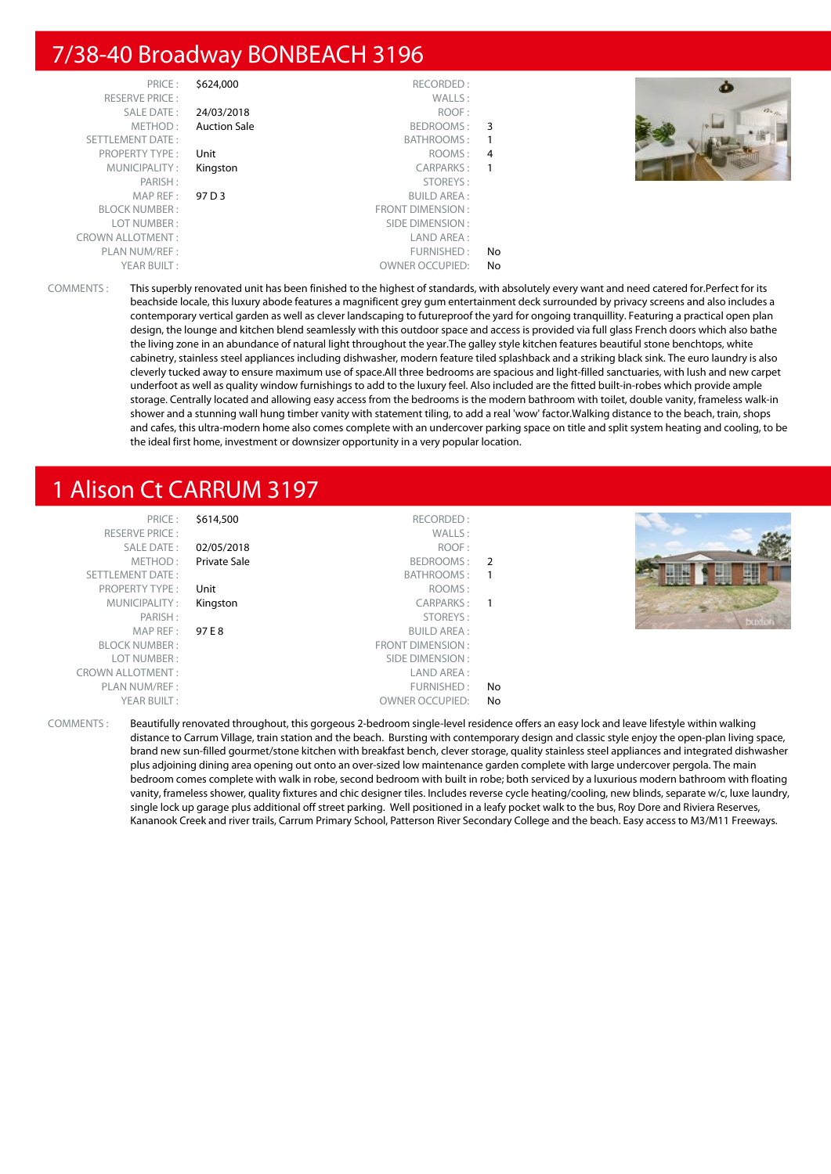#### 7/38-40 Broadway BONBEACH 3196

| PRICE:                  | \$624,000           | RECORDED:              |                | $\bullet$ |
|-------------------------|---------------------|------------------------|----------------|-----------|
| <b>RESERVE PRICE:</b>   |                     | WALLS:                 |                |           |
| <b>SALE DATE:</b>       | 24/03/2018          | ROOF:                  |                |           |
| METHOD:                 | <b>Auction Sale</b> | BEDROOMS:              | - 3            |           |
| <b>SETTLEMENT DATE:</b> |                     | BATHROOMS:             |                |           |
| <b>PROPERTY TYPE:</b>   | Unit                | ROOMS:                 | $\overline{4}$ |           |
| MUNICIPALITY:           | Kingston            | CARPARKS:              |                |           |
| PARISH:                 |                     | STOREYS:               |                |           |
| MAP REF :               | 97 D 3              | <b>BUILD AREA:</b>     |                |           |
| <b>BLOCK NUMBER:</b>    |                     | FRONT DIMENSION :      |                |           |
| LOT NUMBER:             |                     | SIDE DIMENSION :       |                |           |
| <b>CROWN ALLOTMENT:</b> |                     | LAND AREA :            |                |           |
| PLAN NUM/REF:           |                     | FURNISHED:             | No             |           |
| YEAR BUILT:             |                     | <b>OWNER OCCUPIED:</b> | No.            |           |

COMMENTS : This superbly renovated unit has been finished to the highest of standards, with absolutely every want and need catered for.Perfect for its beachside locale, this luxury abode features a magnificent grey gum entertainment deck surrounded by privacy screens and also includes a contemporary vertical garden as well as clever landscaping to futureproof the yard for ongoing tranquillity. Featuring a practical open plan design, the lounge and kitchen blend seamlessly with this outdoor space and access is provided via full glass French doors which also bathe the living zone in an abundance of natural light throughout the year.The galley style kitchen features beautiful stone benchtops, white cabinetry, stainless steel appliances including dishwasher, modern feature tiled splashback and a striking black sink. The euro laundry is also cleverly tucked away to ensure maximum use of space.All three bedrooms are spacious and light-filled sanctuaries, with lush and new carpet underfoot as well as quality window furnishings to add to the luxury feel. Also included are the fitted built-in-robes which provide ample storage. Centrally located and allowing easy access from the bedrooms is the modern bathroom with toilet, double vanity, frameless walk-in shower and a stunning wall hung timber vanity with statement tiling, to add a real 'wow' factor.Walking distance to the beach, train, shops and cafes, this ultra-modern home also comes complete with an undercover parking space on title and split system heating and cooling, to be the ideal first home, investment or downsizer opportunity in a very popular location.

#### 1 Alison Ct CARRUM 3197

| PRICE:<br><b>RESERVE PRICE:</b> | \$614,500           | RECORDED:<br>WALLS:    |                          |  |
|---------------------------------|---------------------|------------------------|--------------------------|--|
| <b>SALE DATE:</b>               | 02/05/2018          | ROOF:                  |                          |  |
| METHOD:                         | <b>Private Sale</b> | BEDROOMS:              | $\overline{\phantom{0}}$ |  |
| <b>SETTLEMENT DATE:</b>         |                     | BATHROOMS:             |                          |  |
| <b>PROPERTY TYPE:</b>           | Unit                | ROOMS:                 |                          |  |
| MUNICIPALITY:                   | Kingston            | CARPARKS:              |                          |  |
| PARISH:                         |                     | STOREYS:               |                          |  |
| MAP REF :                       | 97 E 8              | <b>BUILD AREA:</b>     |                          |  |
| <b>BLOCK NUMBER:</b>            |                     | FRONT DIMENSION:       |                          |  |
| LOT NUMBER:                     |                     | SIDE DIMENSION :       |                          |  |
| <b>CROWN ALLOTMENT:</b>         |                     | LAND AREA:             |                          |  |
| PLAN NUM/REF:                   |                     | FURNISHED:             | No                       |  |
| YEAR BUILT:                     |                     | <b>OWNER OCCUPIED:</b> | No                       |  |

COMMENTS : Beautifully renovated throughout, this gorgeous 2-bedroom single-level residence offers an easy lock and leave lifestyle within walking distance to Carrum Village, train station and the beach. Bursting with contemporary design and classic style enjoy the open-plan living space, brand new sun-filled gourmet/stone kitchen with breakfast bench, clever storage, quality stainless steel appliances and integrated dishwasher plus adjoining dining area opening out onto an over-sized low maintenance garden complete with large undercover pergola. The main bedroom comes complete with walk in robe, second bedroom with built in robe; both serviced by a luxurious modern bathroom with floating vanity, frameless shower, quality fixtures and chic designer tiles. Includes reverse cycle heating/cooling, new blinds, separate w/c, luxe laundry, single lock up garage plus additional off street parking. Well positioned in a leafy pocket walk to the bus, Roy Dore and Riviera Reserves, Kananook Creek and river trails, Carrum Primary School, Patterson River Secondary College and the beach. Easy access to M3/M11 Freeways.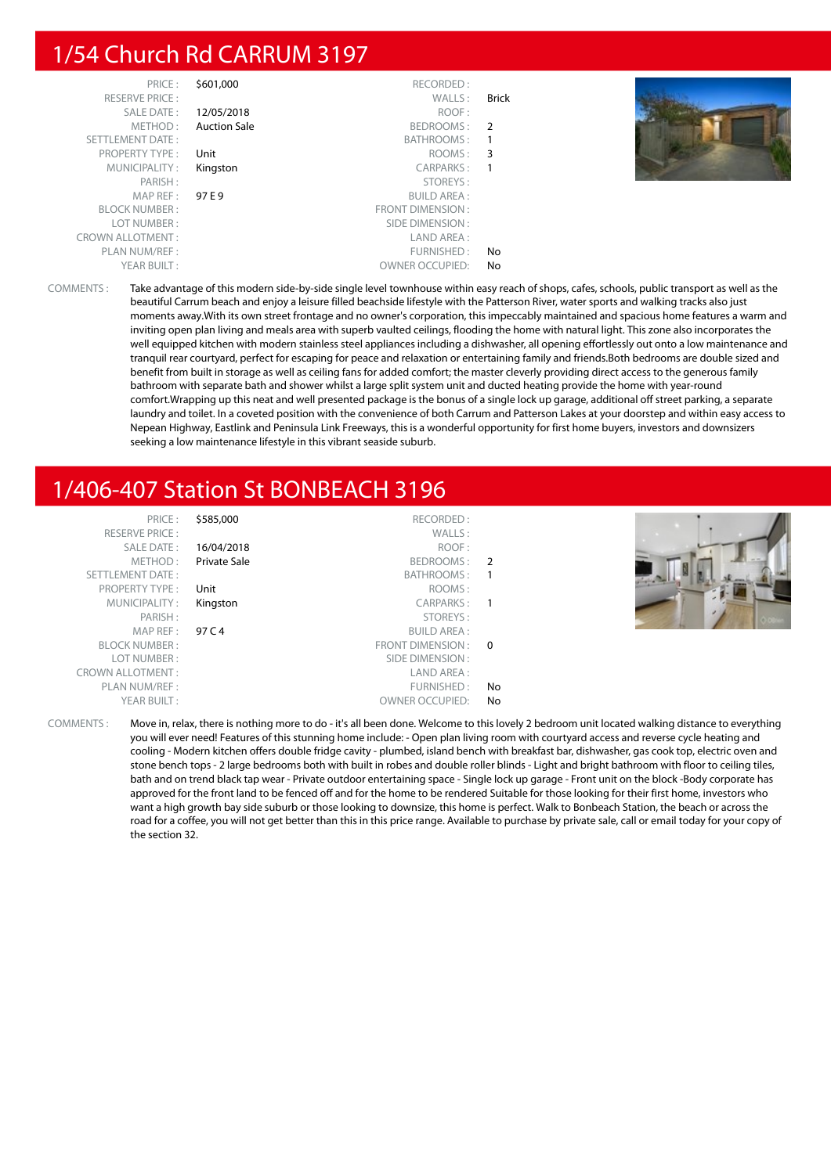#### 1/54 Church Rd CARRUM 3197

| PRICE:                  | \$601,000           | RECORDED:               |              |
|-------------------------|---------------------|-------------------------|--------------|
| <b>RESERVE PRICE:</b>   |                     | WALLS:                  | <b>Brick</b> |
| <b>SALE DATE:</b>       | 12/05/2018          | ROOF:                   |              |
| METHOD:                 | <b>Auction Sale</b> | BEDROOMS:               | 2            |
| <b>SETTLEMENT DATE:</b> |                     | BATHROOMS:              | 1            |
| <b>PROPERTY TYPE:</b>   | Unit                | ROOMS:                  | 3            |
| MUNICIPALITY:           | Kingston            | <b>CARPARKS:</b>        | 1            |
| PARISH:                 |                     | STOREYS:                |              |
| MAP REF:                | 97 E 9              | <b>BUILD AREA:</b>      |              |
| <b>BLOCK NUMBER:</b>    |                     | <b>FRONT DIMENSION:</b> |              |
| LOT NUMBER:             |                     | SIDE DIMENSION:         |              |
| <b>CROWN ALLOTMENT:</b> |                     | LAND AREA:              |              |
| PLAN NUM/REF:           |                     | FURNISHED:              | No           |
| YEAR BUILT:             |                     | <b>OWNER OCCUPIED:</b>  | No           |



COMMENTS : Take advantage of this modern side-by-side single level townhouse within easy reach of shops, cafes, schools, public transport as well as the beautiful Carrum beach and enjoy a leisure filled beachside lifestyle with the Patterson River, water sports and walking tracks also just moments away.With its own street frontage and no owner's corporation, this impeccably maintained and spacious home features a warm and inviting open plan living and meals area with superb vaulted ceilings, flooding the home with natural light. This zone also incorporates the well equipped kitchen with modern stainless steel appliances including a dishwasher, all opening effortlessly out onto a low maintenance and tranquil rear courtyard, perfect for escaping for peace and relaxation or entertaining family and friends.Both bedrooms are double sized and benefit from built in storage as well as ceiling fans for added comfort; the master cleverly providing direct access to the generous family bathroom with separate bath and shower whilst a large split system unit and ducted heating provide the home with year-round comfort.Wrapping up this neat and well presented package is the bonus of a single lock up garage, additional off street parking, a separate laundry and toilet. In a coveted position with the convenience of both Carrum and Patterson Lakes at your doorstep and within easy access to Nepean Highway, Eastlink and Peninsula Link Freeways, this is a wonderful opportunity for first home buyers, investors and downsizers seeking a low maintenance lifestyle in this vibrant seaside suburb.

## 1/406-407 Station St BONBEACH 3196

| PRICE:<br><b>RESERVE PRICE:</b><br><b>SALE DATE:</b><br>METHOD:<br>SETTLEMENT DATE:<br>PROPERTY TYPE:<br>MUNICIPALITY:<br>PARISH:<br>MAPREF:<br><b>BLOCK NUMBER:</b><br>LOT NUMBER:<br><b>CROWN ALLOTMENT:</b><br>PLAN NUM/REF: | \$585,000<br>16/04/2018<br><b>Private Sale</b><br>Unit<br>Kingston<br>97 C 4 | RECORDED:<br>WALLS:<br>ROOF:<br>BEDROOMS: 2<br>BATHROOMS:<br>ROOMS:<br>CARPARKS:<br>STOREYS:<br><b>BUILD AREA:</b><br>FRONT DIMENSION : 0<br>SIDE DIMENSION:<br>LAND AREA:<br>FURNISHED: | No |  |
|---------------------------------------------------------------------------------------------------------------------------------------------------------------------------------------------------------------------------------|------------------------------------------------------------------------------|------------------------------------------------------------------------------------------------------------------------------------------------------------------------------------------|----|--|
| YEAR BUILT:                                                                                                                                                                                                                     |                                                                              | <b>OWNER OCCUPIED:</b>                                                                                                                                                                   | No |  |

COMMENTS : Move in, relax, there is nothing more to do - it's all been done. Welcome to this lovely 2 bedroom unit located walking distance to everything you will ever need! Features of this stunning home include: - Open plan living room with courtyard access and reverse cycle heating and cooling - Modern kitchen offers double fridge cavity - plumbed, island bench with breakfast bar, dishwasher, gas cook top, electric oven and stone bench tops - 2 large bedrooms both with built in robes and double roller blinds - Light and bright bathroom with floor to ceiling tiles, bath and on trend black tap wear - Private outdoor entertaining space - Single lock up garage - Front unit on the block -Body corporate has approved for the front land to be fenced off and for the home to be rendered Suitable for those looking for their first home, investors who want a high growth bay side suburb or those looking to downsize, this home is perfect. Walk to Bonbeach Station, the beach or across the road for a coffee, you will not get better than this in this price range. Available to purchase by private sale, call or email today for your copy of the section 32.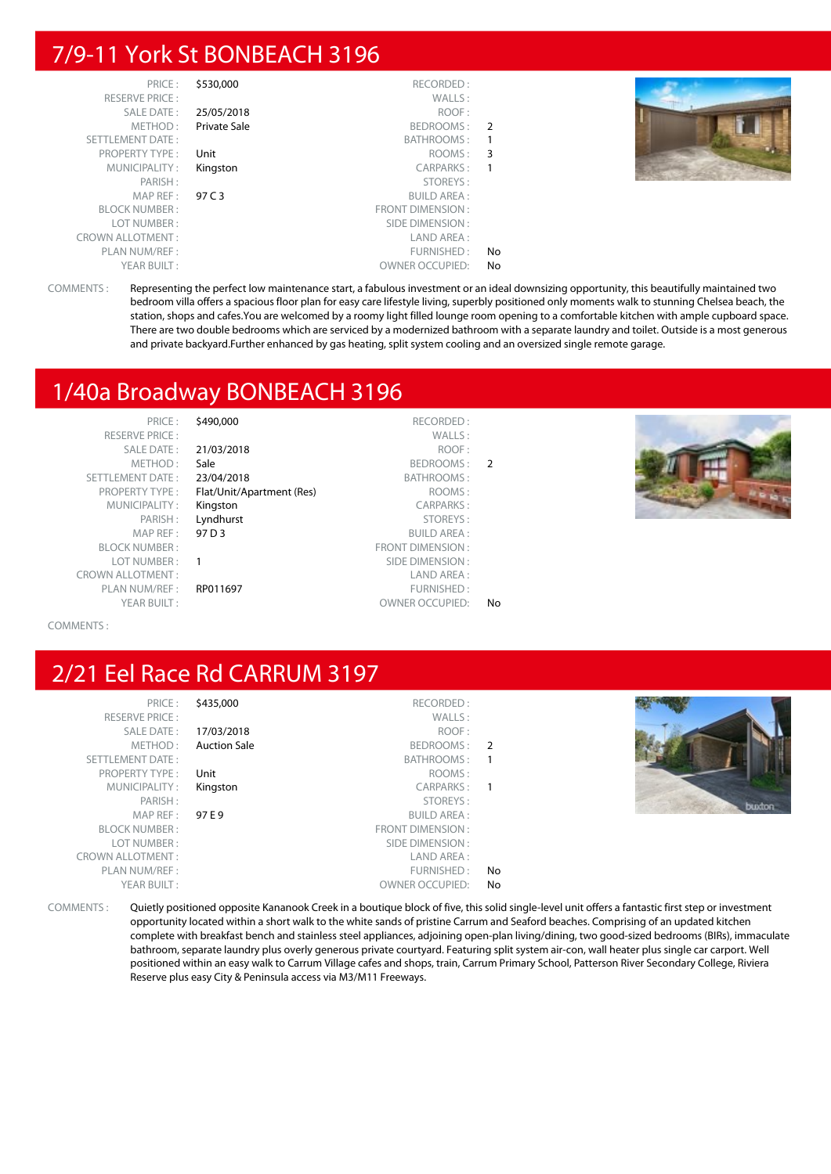## 7/9-11 York St BONBEACH 3196

| PRICE:                  | \$530,000    | RECORDED:               |     |
|-------------------------|--------------|-------------------------|-----|
| <b>RESERVE PRICE:</b>   |              | WALLS:                  |     |
| SALE DATE:              | 25/05/2018   | ROOF:                   |     |
| METHOD:                 | Private Sale | BEDROOMS:               | 2   |
| SETTLEMENT DATE:        |              | <b>BATHROOMS:</b>       |     |
| <b>PROPERTY TYPE:</b>   | Unit         | ROOMS:                  | 3   |
| MUNICIPALITY:           | Kingston     | CARPARKS:               |     |
| PARISH:                 |              | STOREYS:                |     |
| MAP REF:                | 97 C 3       | <b>BUILD AREA:</b>      |     |
| <b>BLOCK NUMBER:</b>    |              | <b>FRONT DIMENSION:</b> |     |
| LOT NUMBER :            |              | SIDE DIMENSION:         |     |
| <b>CROWN ALLOTMENT:</b> |              | LAND AREA:              |     |
| PLAN NUM/REF:           |              | FURNISHED:              | No  |
| YEAR BUILT:             |              | <b>OWNER OCCUPIED:</b>  | No. |



COMMENTS : Representing the perfect low maintenance start, a fabulous investment or an ideal downsizing opportunity, this beautifully maintained two bedroom villa offers a spacious floor plan for easy care lifestyle living, superbly positioned only moments walk to stunning Chelsea beach, the station, shops and cafes.You are welcomed by a roomy light filled lounge room opening to a comfortable kitchen with ample cupboard space. There are two double bedrooms which are serviced by a modernized bathroom with a separate laundry and toilet. Outside is a most generous and private backyard.Further enhanced by gas heating, split system cooling and an oversized single remote garage.

#### 1/40a Broadway BONBEACH 3196

| PRICE:                  | \$490,000                 | RECORDED:               |    |
|-------------------------|---------------------------|-------------------------|----|
| <b>RESERVE PRICE:</b>   |                           | WALLS:                  |    |
| SALE DATE:              | 21/03/2018                | ROOF:                   |    |
| METHOD:                 | Sale                      | BEDROOMS:               |    |
| <b>SETTLEMENT DATE:</b> | 23/04/2018                | BATHROOMS:              |    |
| <b>PROPERTY TYPE:</b>   | Flat/Unit/Apartment (Res) | ROOMS:                  |    |
| MUNICIPALITY:           | Kingston                  | <b>CARPARKS:</b>        |    |
| PARISH:                 | Lyndhurst                 | STOREYS:                |    |
| MAP REF:                | 97 D 3                    | <b>BUILD AREA:</b>      |    |
| <b>BLOCK NUMBER:</b>    |                           | <b>FRONT DIMENSION:</b> |    |
| LOT NUMBER:             |                           | SIDE DIMENSION:         |    |
| <b>CROWN ALLOTMENT:</b> |                           | LAND AREA:              |    |
| PLAN NUM/REF:           | RP011697                  | FURNISHED:              |    |
| YEAR BUILT:             |                           | <b>OWNER OCCUPIED:</b>  | No |
|                         |                           |                         |    |



COMMENTS :

## 2/21 Eel Race Rd CARRUM 3197

| PRICE:<br><b>RESERVE PRICE:</b> | \$435,000           | RECORDED:<br>WALLS: |    |               |
|---------------------------------|---------------------|---------------------|----|---------------|
| SALE DATE:                      | 17/03/2018          | ROOF:               |    |               |
| METHOD:                         | <b>Auction Sale</b> | BEDROOMS: 2         |    |               |
| SETTLEMENT DATE:                |                     | BATHROOMS: 1        |    |               |
| <b>PROPERTY TYPE:</b>           | Unit                | ROOMS:              |    |               |
| MUNICIPALITY:                   | Kingston            | CARPARKS: 1         |    |               |
| PARISH:                         |                     | STOREYS:            |    | <b>Duxton</b> |
| MAPREF:                         | 97 E 9              | <b>BUILD AREA:</b>  |    |               |
| <b>BLOCK NUMBER:</b>            |                     | FRONT DIMENSION :   |    |               |
| LOT NUMBER:                     |                     | SIDE DIMENSION :    |    |               |
| <b>CROWN ALLOTMENT:</b>         |                     | LAND AREA :         |    |               |
| PLAN NUM/REF :                  |                     | FURNISHED:          | No |               |
| YFAR BUILT:                     |                     | OWNER OCCUPIED:     | Nο |               |

COMMENTS : Quietly positioned opposite Kananook Creek in a boutique block of five, this solid single-level unit offers a fantastic first step or investment opportunity located within a short walk to the white sands of pristine Carrum and Seaford beaches. Comprising of an updated kitchen complete with breakfast bench and stainless steel appliances, adjoining open-plan living/dining, two good-sized bedrooms (BIRs), immaculate bathroom, separate laundry plus overly generous private courtyard. Featuring split system air-con, wall heater plus single car carport. Well positioned within an easy walk to Carrum Village cafes and shops, train, Carrum Primary School, Patterson River Secondary College, Riviera Reserve plus easy City & Peninsula access via M3/M11 Freeways.